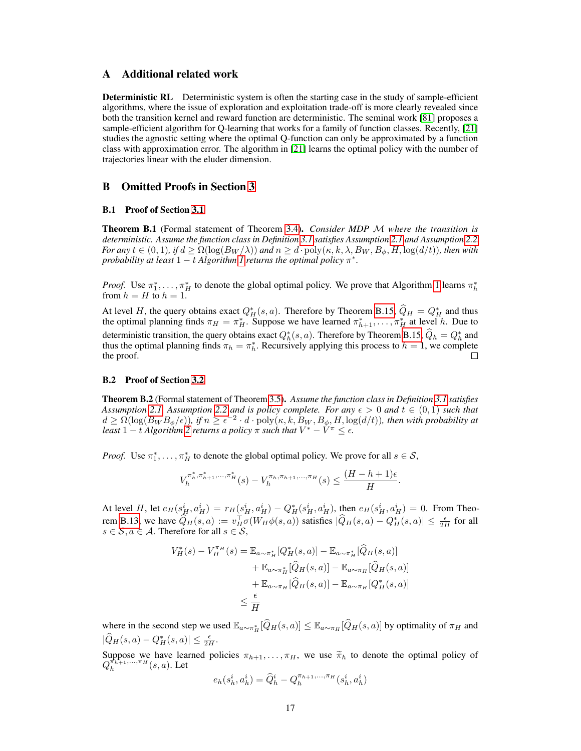## A Additional related work

**Deterministic RL** Deterministic system is often the starting case in the study of sample-efficient algorithms, where the issue of exploration and exploitation trade-off is more clearly revealed since both the transition kernel and reward function are deterministic. The seminal work [\[81\]](#page--1-0) proposes a sample-efficient algorithm for Q-learning that works for a family of function classes. Recently, [\[21\]](#page--1-1) studies the agnostic setting where the optimal Q-function can only be approximated by a function class with approximation error. The algorithm in [\[21\]](#page--1-1) learns the optimal policy with the number of trajectories linear with the eluder dimension.

### B Omitted Proofs in Section [3](#page--1-2)

### B.1 Proof of Section [3.1](#page--1-3)

<span id="page-0-0"></span>Theorem B.1 (Formal statement of Theorem [3.4\)](#page--1-4). *Consider MDP* M *where the transition is deterministic. Assume the function class in Definition [3.1](#page--1-5) satisfies Assumption [2.1](#page--1-6) and Assumption [2.2.](#page--1-7) For any*  $t \in (0,1)$ *, if*  $d \ge \Omega(\log(B_W/\lambda))$  *and*  $n \ge d \cdot \text{poly}(\kappa, k, \lambda, B_W, B_\phi, H, \log(d/t))$ *, then with probability at least*  $1 - t$  *Algorithm [1](#page--1-8) returns the optimal policy*  $\pi^*$ *.* 

*Proof.* Use  $\pi_1^*, \ldots, \pi_H^*$  to denote the global optimal policy. We prove that Algorithm [1](#page--1-8) learns  $\pi_h^*$ from  $h = H$  to  $h = 1$ .

At level H, the query obtains exact  $Q_H^*(s, a)$ . Therefore by Theorem [B.15,](#page-5-0)  $\hat{Q}_H = Q_H^*$  and thus the optimal planning finds  $\pi_H = \pi_H^*$ . Suppose we have learned  $\pi_{h+1}^*, \ldots, \pi_H^*$  at level h. Due to deterministic transition, the query obtains exact  $Q_h^*(s, a)$ . Therefore by Theorem [B.15,](#page-5-0)  $\hat{Q}_h = Q_h^*$  and thus the optimal planning finds  $\pi_h = \pi_h^*$ . Recursively applying this process to  $h = 1$ , we complete  $\Box$ the proof.

### B.2 Proof of Section [3.2](#page--1-9)

Theorem B.2 (Formal statement of Theorem [3.5\)](#page--1-10). *Assume the function class in Definition [3.1](#page--1-5) satisfies Assumption* [2.1,](#page--1-6) *Assumption* [2.2](#page--1-7) *and is policy complete. For any*  $\epsilon > 0$  *and*  $t \in (0,1)$  *such that*  $d \geq \Omega(\log(B_W B_{\phi}/\epsilon))$ , if  $n \geq \epsilon^{-2} \cdot d \cdot \text{poly}(\kappa, k, B_W, B_{\phi}, H, \log(d/t))$ , then with probability at *least*  $1 - t$  *Algorithm*  $2$  *returns a policy*  $\pi$  *such that*  $V^* - V^{\pi} \leq \epsilon$ .

*Proof.* Use  $\pi_1^*, \ldots, \pi_H^*$  to denote the global optimal policy. We prove for all  $s \in S$ ,

$$
V_h^{\pi_h^*, \pi_{h+1}^*, \dots, \pi_H^*}(s) - V_h^{\pi_h, \pi_{h+1}, \dots, \pi_H}(s) \le \frac{(H-h+1)\epsilon}{H}.
$$

At level H, let  $e_H(s_H^i, a_H^i) = r_H(s_H^i, a_H^i) - Q_H^*(s_H^i, a_H^i)$ , then  $e_H(s_H^i, a_H^i) = 0$ . From Theo-rem [B.13,](#page-4-0) we have  $\widehat{Q}_H(s, a) := v_H^{\top} \sigma(W_H \phi(s, a))$  satisfies  $|\widehat{Q}_H(s, a) - Q_H^*(s, a)| \leq \frac{\epsilon}{2H}$  for all  $s \in \mathcal{S}, a \in \mathcal{A}$ . Therefore for all  $s \in \mathcal{S}$ ,

$$
V_H^*(s) - V_H^{\pi_H}(s) = \mathbb{E}_{a \sim \pi_H^*}[Q_H^*(s, a)] - \mathbb{E}_{a \sim \pi_H^*}[\hat{Q}_H(s, a)] + \mathbb{E}_{a \sim \pi_H^*}[\hat{Q}_H(s, a)] - \mathbb{E}_{a \sim \pi_H}[\hat{Q}_H(s, a)] + \mathbb{E}_{a \sim \pi_H}[\hat{Q}_H(s, a)] - \mathbb{E}_{a \sim \pi_H}[Q_H^*(s, a)] \leq \frac{\epsilon}{H}
$$

where in the second step we used  $\mathbb{E}_{a \sim \pi_H^*}[\widehat{Q}_H(s, a)] \leq \mathbb{E}_{a \sim \pi_H}[\widehat{Q}_H(s, a)]$  by optimality of  $\pi_H$  and  $|\widehat{Q}_H(s,a) - Q^*_H(s,a)| \leq \frac{\epsilon}{2H}.$ 

Suppose we have learned policies  $\pi_{h+1}, \dots, \pi_H$ , we use  $\tilde{\pi}_h$  to denote the optimal policy of  $Q_h^{\pi_{h+1}, \dots, \pi_H}(s, a)$ . Let

$$
e_h(s_h^i, a_h^i) = \hat{Q}_h^i - Q_h^{\pi_{h+1}, \dots, \pi_H}(s_h^i, a_h^i)
$$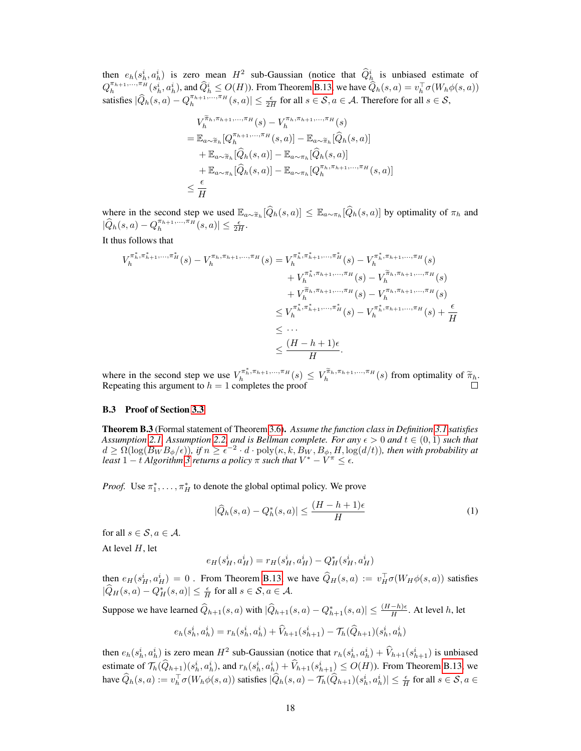then  $e_h(s_h^i, a_h^i)$  is zero mean  $H^2$  sub-Gaussian (notice that  $\hat{Q}_h^i$  is unbiased estimate of  $Q_h^{\pi_{h+1},\dots,\pi_H}(s_h^i, a_h^i)$ , and  $\widehat{Q}_h^i \leq O(H)$ ). From Theorem [B.13,](#page-4-0) we have  $\widehat{Q}_h(s, a) = v_h^{\top} \sigma(W_h \phi(s, a))$ satisfies  $|\widehat{Q}_h(s, a) - Q_h^{\pi_{h+1}, \dots, \pi_H}(s, a)| \leq \frac{\epsilon}{2H}$  for all  $s \in \mathcal{S}, a \in \mathcal{A}$ . Therefore for all  $s \in \mathcal{S}$ ,

$$
V_h^{\tilde{\pi}_h, \pi_{h+1}, \dots, \pi_H}(s) - V_h^{\pi_h, \pi_{h+1}, \dots, \pi_H}(s)
$$
  
=  $\mathbb{E}_{a \sim \tilde{\pi}_h} [Q_h^{\pi_{h+1}, \dots, \pi_H}(s, a)] - \mathbb{E}_{a \sim \tilde{\pi}_h} [\widehat{Q}_h(s, a)]$   
+  $\mathbb{E}_{a \sim \tilde{\pi}_h} [\widehat{Q}_h(s, a)] - \mathbb{E}_{a \sim \pi_h} [\widehat{Q}_h(s, a)]$   
+  $\mathbb{E}_{a \sim \pi_h} [\widehat{Q}_h(s, a)] - \mathbb{E}_{a \sim \pi_h} [Q_h^{\pi_h, \pi_{h+1}, \dots, \pi_H}(s, a)]$   
 $\leq \frac{\epsilon}{H}$ 

where in the second step we used  $\mathbb{E}_{a \sim \tilde{\pi}_h}[\widehat{Q}_h(s, a)] \leq \mathbb{E}_{a \sim \pi_h}[\widehat{Q}_h(s, a)]$  by optimality of  $\pi_h$  and  $|\widehat{Q}_h(s,a) - Q_h^{\pi_{h+1},\ldots,\pi_H}(s,a)| \leq \frac{\epsilon}{2H}.$ 

It thus follows that

$$
V_{h}^{\pi_{h}^{*}, \pi_{h+1}^{*}, \dots, \pi_{H}^{*}}(s) - V_{h}^{\pi_{h}, \pi_{h+1}, \dots, \pi_{H}}(s) = V_{h}^{\pi_{h}^{*}, \pi_{h+1}^{*}, \dots, \pi_{H}^{*}}(s) - V_{h}^{\pi_{h}^{*}, \pi_{h+1}, \dots, \pi_{H}}(s) + V_{h}^{\pi_{h}^{*}, \pi_{h+1}, \dots, \pi_{H}}(s) - V_{h}^{\pi_{h}, \pi_{h+1}, \dots, \pi_{H}}(s) + V_{h}^{\pi_{h}, \pi_{h+1}, \dots, \pi_{H}}(s) - V_{h}^{\pi_{h}, \pi_{h+1}, \dots, \pi_{H}}(s) \leq V_{h}^{\pi_{h}^{*}, \pi_{h+1}, \dots, \pi_{H}^{*}}(s) - V_{h}^{\pi_{h}^{*}, \pi_{h+1}, \dots, \pi_{H}}(s) + \frac{\epsilon}{H} \leq \dots \leq \frac{(H - h + 1)\epsilon}{H}.
$$

where in the second step we use  $V_h^{\pi_h^*, \pi_{h+1}, \dots, \pi_H}(s) \leq V_h^{\tilde{\pi}_h, \pi_{h+1}, \dots, \pi_H}(s)$  from optimality of  $\tilde{\pi}_h$ .<br>Repeating this argument to  $h-1$  completes the proof Repeating this argument to  $h = 1$  completes the proof

#### B.3 Proof of Section [3.3](#page--1-12)

Theorem B.3 (Formal statement of Theorem [3.6\)](#page--1-13). *Assume the function class in Definition [3.1](#page--1-5) satisfies Assumption* [2.1,](#page--1-6) Assumption [2.2,](#page--1-7) and is Bellman complete. For any  $\epsilon > 0$  and  $t \in (0,1)$  such that  $d \geq \Omega(\log(B_W B_{\phi}/\epsilon))$ , if  $n \geq \epsilon^{-2} \cdot d \cdot \text{poly}(\kappa, k, B_W, B_{\phi}, H, \log(d/t))$ , then with probability at *least*  $1 - t$  *Algorithm [3](#page--1-14) returns a policy*  $\pi$  *such that*  $V^* - V^{\pi} \leq \epsilon$ .

*Proof.* Use  $\pi_1^*, \ldots, \pi_H^*$  to denote the global optimal policy. We prove

<span id="page-1-0"></span>
$$
|\hat{Q}_h(s, a) - Q_h^*(s, a)| \le \frac{(H - h + 1)\epsilon}{H}
$$
 (1)

for all  $s \in \mathcal{S}, a \in \mathcal{A}$ .

At level  $H$ , let

$$
e_H(s_H^i, a_H^i) = r_H(s_H^i, a_H^i) - Q_H^*(s_H^i, a_H^i)
$$

then  $e_H(s_H^i, a_H^i) = 0$ . From Theorem [B.13,](#page-4-0) we have  $\hat{Q}_H(s, a) := v_H^{\top} \sigma(W_H \phi(s, a))$  satisfies  $|\widehat{Q}_H(s, a) - Q_H^*(s, a)| \leq \frac{\epsilon}{H}$  for all  $s \in \mathcal{S}, a \in \mathcal{A}$ .

Suppose we have learned  $\widehat{Q}_{h+1}(s,a)$  with  $|\widehat{Q}_{h+1}(s,a) - Q^*_{h+1}(s,a)| \leq \frac{(H-h)\epsilon}{H}$ . At level h, let  $e_h(s_h^i, a_h^i) = r_h(s_h^i, a_h^i) + \widehat{V}_{h+1}(s_{h+1}^i) - \mathcal{T}_h(\widehat{Q}_{h+1})(s_h^i, a_h^i)$ 

then  $e_h(s_h^i, a_h^i)$  is zero mean  $H^2$  sub-Gaussian (notice that  $r_h(s_h^i, a_h^i) + \hat{V}_{h+1}(s_{h+1}^i)$  is unbiased estimate of  $\mathcal{T}_h(\widehat{Q}_{h+1})(s_h^i, a_h^i)$ , and  $r_h(s_h^i, a_h^i) + \widehat{V}_{h+1}(s_{h+1}^i) \le O(H)$ ). From Theorem [B.13,](#page-4-0) we have  $\widehat{Q}_h(s, a) := v_h^{\top} \sigma(W_h \phi(s, a))$  satisfies  $|\widehat{Q}_h(s, a) - \mathcal{T}_h(\widehat{Q}_{h+1})(s_h^i, a_h^i)| \leq \frac{\epsilon}{H}$  for all  $s \in \mathcal{S}, a \in$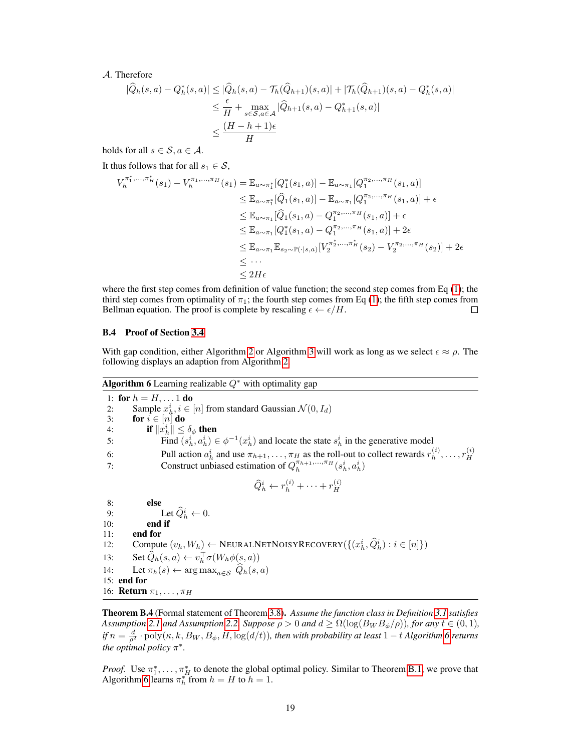A. Therefore

$$
|\widehat{Q}_h(s, a) - Q_h^*(s, a)| \leq |\widehat{Q}_h(s, a) - \mathcal{T}_h(\widehat{Q}_{h+1})(s, a)| + |\mathcal{T}_h(\widehat{Q}_{h+1})(s, a) - Q_h^*(s, a)|
$$
  

$$
\leq \frac{\epsilon}{H} + \max_{s \in S, a \in \mathcal{A}} |\widehat{Q}_{h+1}(s, a) - Q_{h+1}^*(s, a)|
$$
  

$$
\leq \frac{(H - h + 1)\epsilon}{H}
$$

holds for all  $s \in \mathcal{S}, a \in \mathcal{A}$ .

It thus follows that for all  $s_1 \in S$ ,

$$
V_h^{\pi_1^*,...,\pi_H^*}(s_1) - V_h^{\pi_1,...,\pi_H}(s_1) = \mathbb{E}_{a \sim \pi_1^*}[Q_1^*(s_1, a)] - \mathbb{E}_{a \sim \pi_1}[Q_1^{\pi_2,...,\pi_H}(s_1, a)]
$$
  
\n
$$
\leq \mathbb{E}_{a \sim \pi_1^*}[\hat{Q}_1(s_1, a)] - \mathbb{E}_{a \sim \pi_1}[Q_1^{\pi_2,...,\pi_H}(s_1, a)] + \epsilon
$$
  
\n
$$
\leq \mathbb{E}_{a \sim \pi_1}[\hat{Q}_1(s_1, a) - Q_1^{\pi_2,...,\pi_H}(s_1, a)] + \epsilon
$$
  
\n
$$
\leq \mathbb{E}_{a \sim \pi_1}[Q_1^*(s_1, a) - Q_1^{\pi_2,...,\pi_H}(s_1, a)] + 2\epsilon
$$
  
\n
$$
\leq \mathbb{E}_{a \sim \pi_1} \mathbb{E}_{s_2 \sim \mathbb{P}(\cdot|s, a)}[V_2^{\pi_2^*,...,\pi_H^*}(s_2) - V_2^{\pi_2,...,\pi_H}(s_2)] + 2\epsilon
$$
  
\n
$$
\leq \cdots
$$
  
\n
$$
\leq 2H\epsilon
$$

where the first step comes from definition of value function; the second step comes from Eq [\(1\)](#page-1-0); the third step comes from optimality of  $\pi_1$ ; the fourth step comes from Eq [\(1\)](#page-1-0); the fifth step comes from Bellman equation. The proof is complete by rescaling  $\epsilon \leftarrow \epsilon / H$ . □

### B.4 Proof of Section [3.4](#page--1-15)

With gap condition, either Algorithm [2](#page--1-11) or Algorithm [3](#page--1-14) will work as long as we select  $\epsilon \approx \rho$ . The following displays an adaption from Algorithm [2.](#page--1-11)

<span id="page-2-0"></span>

| <b>Algorithm 6</b> Learning realizable $Q^*$ with optimality gap |
|------------------------------------------------------------------|
|------------------------------------------------------------------|

1: for  $h = H, \ldots 1$  do 2: Sample  $x_h^i$ ,  $i \in [n]$  from standard Gaussian  $\mathcal{N}(0, I_d)$ 3: for  $i \in [n]$  do 4: **if**  $||x_h^i|| \le \delta_\phi$  then 5: Find  $(s_h^i, a_h^i) \in \phi^{-1}(x_h^i)$  and locate the state  $s_h^i$  in the generative model 6: Pull action  $a_h^i$  and use  $\pi_{h+1}, \dots, \pi_H$  as the roll-out to collect rewards  $r_h^{(i)}$  $\binom{i}{h},\ldots,r_H^{(i)}$ 7: Construct unbiased estimation of  $Q_h^{\pi_{h+1},\dots,\pi_H}(s_h^i, a_h^i)$  $\widehat{Q}_h^i \leftarrow r_h^{(i)} + \cdots + r_H^{(i)}$ H 8: else 9: Let  $\widehat{Q}_h^i \leftarrow 0$ . 10: **end if** 11: end for 12: Compute  $(v_h, W_h) \leftarrow \text{NEURALNETNOISYRECOVERY}(\{(x_h^i, \hat{Q}_h^i) : i \in [n]\})$ 13: Set  $\widehat{Q}_h(s, a) \leftarrow v_h^{\top} \sigma(W_h \phi(s, a))$ 14: Let  $\pi_h(s) \leftarrow \arg \max_{a \in \mathcal{S}} \widehat{Q}_h(s, a)$ 15: end for 16: **Return**  $\pi_1, \ldots, \pi_H$ 

Theorem B.4 (Formal statement of Theorem [3.8\)](#page--1-5). *Assume the function class in Definition [3.1](#page--1-5) satisfies Assumption* [2.1](#page--1-6) *and Assumption* [2.2.](#page--1-7) *Suppose*  $\rho > 0$  *and*  $d \ge \Omega(\log(B_W B_{\phi}/\rho))$ *, for any*  $t \in (0, 1)$ *,*  $df n = \frac{d}{\rho^2} \cdot \text{poly}(\kappa,k,B_W,B_\phi,H,\log(d/t))$ , then with probability at least  $1-t$  *Algorithm [6](#page-2-0) returns the optimal policy* π ∗ *.*

*Proof.* Use  $\pi_1^*, \ldots, \pi_H^*$  to denote the global optimal policy. Similar to Theorem [B.1,](#page-0-0) we prove that Algorithm [6](#page-2-0) learns  $\pi_h^*$  from  $h = H$  to  $h = 1$ .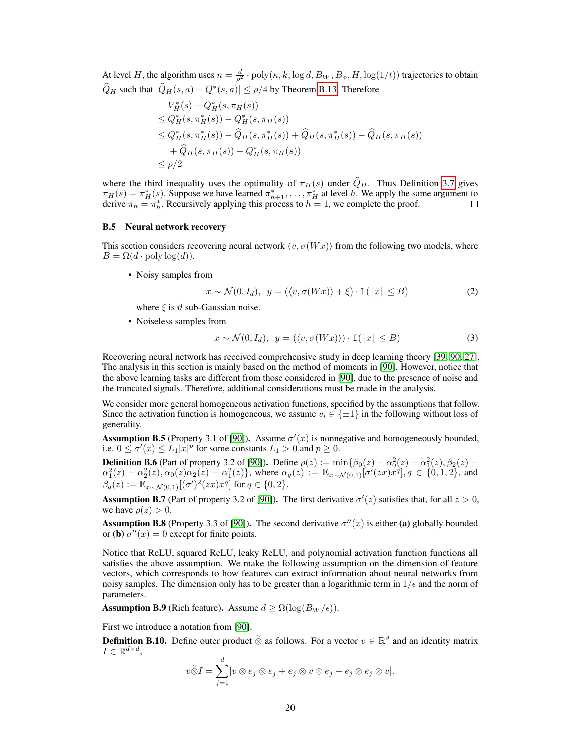At level H, the algorithm uses  $n = \frac{d}{\rho^2} \cdot \text{poly}(\kappa, k, \log d, B_W, B_\phi, H, \log(1/t))$  trajectories to obtain  $\widehat{Q}_H$  such that  $|\widehat{Q}_H(s, a) - Q^*(s, a)| \le \rho/4$  by Theorem [B.13.](#page-4-0) Therefore

$$
V_H^*(s) - Q_H^*(s, \pi_H(s))
$$
  
\n
$$
\leq Q_H^*(s, \pi_H^*(s)) - Q_H^*(s, \pi_H(s))
$$
  
\n
$$
\leq Q_H^*(s, \pi_H^*(s)) - \hat{Q}_H(s, \pi_H^*(s)) + \hat{Q}_H(s, \pi_H^*(s)) - \hat{Q}_H(s, \pi_H(s))
$$
  
\n
$$
+ \hat{Q}_H(s, \pi_H(s)) - Q_H^*(s, \pi_H(s))
$$
  
\n
$$
\leq \rho/2
$$

where the third inequality uses the optimality of  $\pi_H(s)$  under  $\hat{Q}_H$ . Thus Definition [3.7](#page--1-16) gives  $\pi_H(s) = \pi_H^*(s)$ . Suppose we have learned  $\pi_{h+1}^*, \ldots, \pi_H^*$  at level h. We apply the same argument to derive  $\pi_h = \pi_h^*$ . Recursively applying this process to  $h = 1$ , we complete the proof.

#### B.5 Neural network recovery

This section considers recovering neural network  $\langle v, \sigma(Wx) \rangle$  from the following two models, where  $B = \Omega(d \cdot \text{poly}\log(d)).$ 

• Noisy samples from

$$
x \sim \mathcal{N}(0, I_d), \ \ y = (\langle v, \sigma(Wx) \rangle + \xi) \cdot \mathbb{1}(\|x\| \le B)
$$
 (2)

where  $\xi$  is  $\vartheta$  sub-Gaussian noise.

• Noiseless samples from

<span id="page-3-5"></span><span id="page-3-1"></span>
$$
x \sim \mathcal{N}(0, I_d), \ \ y = (\langle v, \sigma(Wx) \rangle) \cdot \mathbb{1}(\|x\| \le B)
$$
 (3)

Recovering neural network has received comprehensive study in deep learning theory [\[39,](#page--1-17) [90,](#page--1-18) [27\]](#page--1-19). The analysis in this section is mainly based on the method of moments in [\[90\]](#page--1-18). However, notice that the above learning tasks are different from those considered in [\[90\]](#page--1-18), due to the presence of noise and the truncated signals. Therefore, additional considerations must be made in the analysis.

We consider more general homogeneous activation functions, specified by the assumptions that follow. Since the activation function is homogeneous, we assume  $v_i \in {\pm 1}$  in the following without loss of generality.

<span id="page-3-0"></span>**Assumption B.5** (Property 3.1 of [\[90\]](#page--1-18)). Assume  $\sigma'(x)$  is nonnegative and homogeneously bounded, i.e.  $0 \le \sigma'(x) \le L_1|x|^p$  for some constants  $L_1 > 0$  and  $p \ge 0$ .

**Definition B.6** (Part of property 3.2 of [\[90\]](#page--1-18)). Define  $\rho(z) := \min\{\beta_0(z) - \alpha_0^2(z) - \alpha_1^2(z), \beta_2(z) - \alpha_2^2(z)\}$  $\alpha_1^2(z) - \alpha_2^2(z), \alpha_0(z)\alpha_2(z) - \alpha_1^2(z)$ , where  $\alpha_q(z) := \mathbb{E}_{x \sim \mathcal{N}(0,1)}[\sigma'(zx)x^q], q \in \{0,1,2\}$ , and  $\beta_q(z):=\mathbb{E}_{x\sim\mathcal{N}(0,1)}[(\sigma')^2(zx)x^q]$  for  $q\in\{0,2\}.$ 

<span id="page-3-3"></span>**Assumption B.7** (Part of property 3.2 of [\[90\]](#page--1-18)). The first derivative  $\sigma'(z)$  satisfies that, for all  $z > 0$ , we have  $\rho(z) > 0$ .

<span id="page-3-4"></span>**Assumption B.8** (Property 3.3 of [\[90\]](#page--1-18)). The second derivative  $\sigma''(x)$  is either (a) globally bounded or (**b**)  $\sigma''(x) = 0$  except for finite points.

Notice that ReLU, squared ReLU, leaky ReLU, and polynomial activation function functions all satisfies the above assumption. We make the following assumption on the dimension of feature vectors, which corresponds to how features can extract information about neural networks from noisy samples. The dimension only has to be greater than a logarithmic term in  $1/\epsilon$  and the norm of parameters.

<span id="page-3-2"></span>**Assumption B.9** (Rich feature). Assume  $d > \Omega(\log(B_W/\epsilon))$ .

First we introduce a notation from [\[90\]](#page--1-18).

**Definition B.10.** Define outer product  $\widetilde{\otimes}$  as follows. For a vector  $v \in \mathbb{R}^d$  and an identity matrix  $I \subset \mathbb{R}^{d \times d}$  $I \in \mathbb{R}^{d \times d}$ ,

$$
v\widetilde{\otimes}I=\sum_{j=1}^d [v\otimes e_j\otimes e_j+e_j\otimes v\otimes e_j+e_j\otimes e_j\otimes v].
$$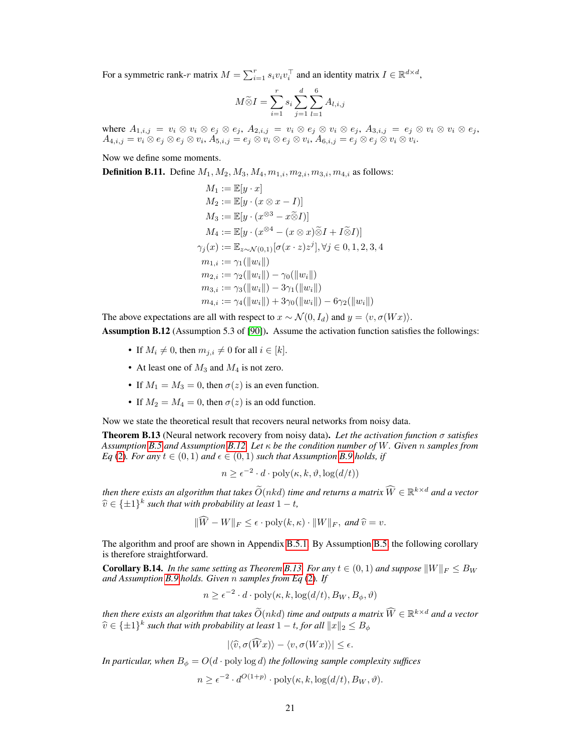For a symmetric rank-r matrix  $M = \sum_{i=1}^{r} s_i v_i v_i^{\top}$  and an identity matrix  $I \in \mathbb{R}^{d \times d}$ ,

$$
M \widetilde{\otimes} I = \sum_{i=1}^{r} s_i \sum_{j=1}^{d} \sum_{l=1}^{6} A_{l,i,j}
$$

where  $A_{1,i,j} = v_i \otimes v_i \otimes e_j \otimes e_j, A_{2,i,j} = v_i \otimes e_j \otimes v_i \otimes e_j, A_{3,i,j} = e_j \otimes v_i \otimes v_i \otimes e_j,$  $A_{4,i,j}=v_i\otimes e_j\otimes e_j\otimes v_i, A_{5,i,j}=e_j\otimes v_i\otimes e_j\otimes v_i, A_{6,i,j}=e_j\otimes e_j\otimes v_i\otimes v_i.$ 

Now we define some moments.

<span id="page-4-2"></span>**Definition B.11.** Define  $M_1, M_2, M_3, M_4, m_{1,i}, m_{2,i}, m_{3,i}, m_{4,i}$  as follows:

$$
M_1 := \mathbb{E}[y \cdot x]
$$
  
\n
$$
M_2 := \mathbb{E}[y \cdot (x \otimes x - I)]
$$
  
\n
$$
M_3 := \mathbb{E}[y \cdot (x^{\otimes 3} - x \widetilde{\otimes} I)]
$$
  
\n
$$
M_4 := \mathbb{E}[y \cdot (x^{\otimes 4} - (x \otimes x) \widetilde{\otimes} I + I \widetilde{\otimes} I)]
$$
  
\n
$$
\gamma_j(x) := \mathbb{E}_{z \sim \mathcal{N}(0,1)}[\sigma(x \cdot z)z^j], \forall j \in 0, 1, 2, 3, 4
$$
  
\n
$$
m_{1,i} := \gamma_1(||w_i||)
$$
  
\n
$$
m_{2,i} := \gamma_2(||w_i||) - \gamma_0(||w_i||)
$$
  
\n
$$
m_{3,i} := \gamma_3(||w_i||) - 3\gamma_1(||w_i||)
$$
  
\n
$$
m_{4,i} := \gamma_4(||w_i||) + 3\gamma_0(||w_i||) - 6\gamma_2(||w_i||)
$$

The above expectations are all with respect to  $x \sim \mathcal{N}(0, I_d)$  and  $y = \langle v, \sigma(Wx) \rangle$ .

<span id="page-4-1"></span>Assumption B.12 (Assumption 5.3 of [\[90\]](#page--1-18)). Assume the activation function satisfies the followings:

- If  $M_i \neq 0$ , then  $m_{i,i} \neq 0$  for all  $i \in [k]$ .
- At least one of  $M_3$  and  $M_4$  is not zero.
- If  $M_1 = M_3 = 0$ , then  $\sigma(z)$  is an even function.
- If  $M_2 = M_4 = 0$ , then  $\sigma(z)$  is an odd function.

Now we state the theoretical result that recovers neural networks from noisy data.

<span id="page-4-0"></span>Theorem B.13 (Neural network recovery from noisy data). *Let the activation function* σ *satisfies Assumption [B.5](#page-3-0) and Assumption [B.12.](#page-4-1) Let* κ *be the condition number of* W*. Given* n *samples from Eq* [\(2\)](#page-3-1)*. For any*  $t \in (0,1)$  *and*  $\epsilon \in (0,1)$  *such that Assumption [B.9](#page-3-2) holds, if* 

$$
n \ge \epsilon^{-2} \cdot d \cdot \text{poly}(\kappa, k, \vartheta, \log(d/t))
$$

*then there exists an algorithm that takes*  $\widetilde{O}(nkd)$  *time and returns a matrix*  $\widehat{W} \in \mathbb{R}^{k \times d}$  *and a vector*  $\widehat{v}$  ∈ { $\pm 1$ }<sup>k</sup> such that with probability at least 1 − t,

$$
||W - W||_F \le \epsilon \cdot \text{poly}(k, \kappa) \cdot ||W||_F, \text{ and } \widehat{v} = v.
$$

The algorithm and proof are shown in Appendix [B.5.1.](#page-5-1) By Assumption [B.5,](#page-3-0) the following corollary is therefore straightforward.

**Corollary B.14.** *In the same setting as Theorem [B.13.](#page-4-0) For any*  $t \in (0, 1)$  *and suppose*  $||W||_F \leq B_W$ *and Assumption [B.9](#page-3-2) holds. Given* n *samples from Eq* [\(2\)](#page-3-1)*. If*

$$
n \ge \epsilon^{-2} \cdot d \cdot \text{poly}(\kappa, k, \log(d/t), B_W, B_\phi, \vartheta)
$$

*then there exists an algorithm that takes*  $\widetilde{O}(nkd)$  *time and outputs a matrix*  $\widehat{W} \in \mathbb{R}^{k \times d}$  *and a vector*  $\widehat{v} \in \{\pm 1\}^k$  such that with probability at least  $1 - t$ , for all  $\|x\|_2 \leq B_\phi$ 

$$
|\langle \widehat{v}, \sigma(\widehat{W}x)\rangle - \langle v, \sigma(Wx)\rangle| \le \epsilon.
$$

*In particular, when*  $B_{\phi} = O(d \cdot \text{poly}\log d)$  *the following sample complexity suffices* 

$$
n \ge \epsilon^{-2} \cdot d^{O(1+p)} \cdot \text{poly}(\kappa, k, \log(d/t), B_W, \vartheta).
$$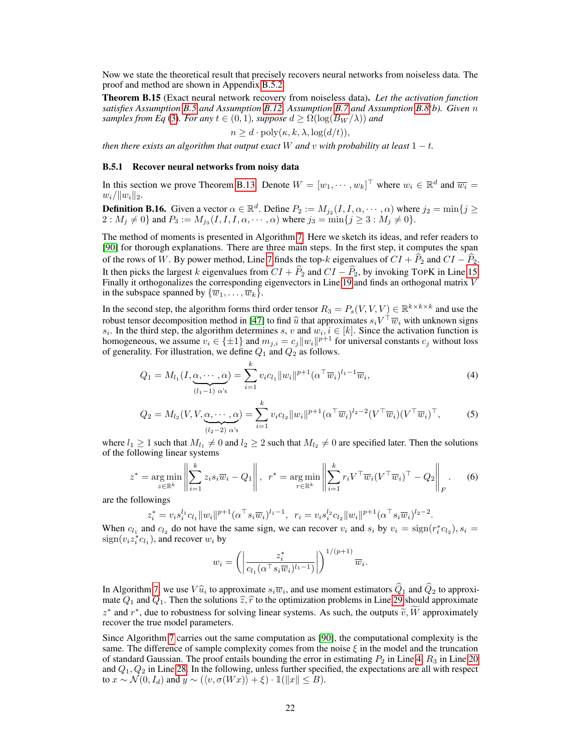Now we state the theoretical result that precisely recovers neural networks from noiseless data. The proof and method are shown in Appendix [B.5.2.](#page-11-0)

<span id="page-5-0"></span>Theorem B.15 (Exact neural network recovery from noiseless data). *Let the activation function satisfies Assumption [B.5](#page-3-0) and Assumption [B.12,](#page-4-1) Assumption [B.7](#page-3-3) and Assumption [B.8\(](#page-3-4)b). Given* n *samples from Eq* [\(3\)](#page-3-5)*. For any*  $t \in (0, 1)$ *, suppose*  $d \ge \Omega(\log(B_W/\lambda))$  *and* 

$$
n \ge d \cdot \text{poly}(\kappa, k, \lambda, \log(d/t)),
$$

*then there exists an algorithm that output exact* W *and* v *with probability at least*  $1 - t$ *.* 

### <span id="page-5-1"></span>B.5.1 Recover neural networks from noisy data

In this section we prove Theorem [B.13.](#page-4-0) Denote  $W = [w_1, \dots, w_k]^\top$  where  $w_i \in \mathbb{R}^d$  and  $\overline{w_i} =$  $w_i/||w_i||_2.$ 

<span id="page-5-2"></span>**Definition B.16.** Given a vector  $\alpha \in \mathbb{R}^d$ . Define  $P_2 := M_{j_2}(I, I, \alpha, \dots, \alpha)$  where  $j_2 = \min\{j \geq 1\}$  $2: M_j \neq 0$ } and  $P_3 := M_{j_3}(I, I, I, \alpha, \dots, \alpha)$  where  $j_3 = \min\{j \geq 3: M_j \neq 0\}$ .

The method of moments is presented in Algorithm [7.](#page-6-0) Here we sketch its ideas, and refer readers to [\[90\]](#page--1-18) for thorough explanations. There are three main steps. In the first step, it computes the span of the rows of W. By power method, Line [7](#page-6-0) finds the top-k eigenvalues of  $CI + P_2$  and  $CI - P_2$ . It then picks the largest k eigenvalues from  $CI + P_2$  and  $CI - P_2$ , by invoking TOPK in Line [15.](#page-6-0) Finally it orthogonalizes the corresponding eigenvectors in Line [19](#page-6-0) and finds an orthogonal matrix V in the subspace spanned by  $\{\overline{w}_1, \ldots, \overline{w}_k\}.$ 

In the second step, the algorithm forms third order tensor  $R_3 = P_s(V, V, V) \in \mathbb{R}^{k \times k \times k}$  and use the robust tensor decomposition method in [\[47\]](#page--1-20) to find  $\hat{u}$  that approximates  $s_iV^\top \overline{w}_i$  with unknown signs  $s_i$ . In the third step, the algorithm determines s  $v_i$  and  $w_i$  i  $\in [k]$ . Since the activation function is  $s_i$ . In the third step, the algorithm determines s, v and  $w_i$ ,  $i \in [k]$ . Since the activation function is homogeneous, we assume  $v_i \in \{\pm 1\}$  and  $m_{j,i} = c_j ||w_i||^{p+1}$  for universal constants  $c_j$  without loss of generality. For illustration, we define  $Q_1$  and  $Q_2$  as follows.

$$
Q_1 = M_{l_1}(I, \underbrace{\alpha, \cdots, \alpha}_{(l_1 - 1) \alpha' s}) = \sum_{i=1}^{k} v_i c_{l_1} ||w_i||^{p+1} (\alpha^\top \overline{w}_i)^{l_1 - 1} \overline{w}_i,
$$
\n(4)

$$
Q_2 = M_{l_2}(V, V, \underbrace{\alpha, \cdots, \alpha}_{(l_2-2) \alpha's}) = \sum_{i=1}^k v_i c_{l_2} ||w_i||^{p+1} (\alpha^\top \overline{w}_i)^{l_2-2} (V^\top \overline{w}_i) (V^\top \overline{w}_i)^\top, \tag{5}
$$

where  $l_1 \ge 1$  such that  $M_{l_1} \ne 0$  and  $l_2 \ge 2$  such that  $M_{l_2} \ne 0$  are specified later. Then the solutions of the following linear systems

$$
z^* = \underset{z \in \mathbb{R}^k}{\arg \min} \left\| \sum_{i=1}^k z_i s_i \overline{w}_i - Q_1 \right\|, \ \ r^* = \underset{r \in \mathbb{R}^k}{\arg \min} \left\| \sum_{i=1}^k r_i V^\top \overline{w}_i (V^\top \overline{w}_i)^\top - Q_2 \right\|_F. \tag{6}
$$

<span id="page-5-6"></span><span id="page-5-4"></span><span id="page-5-3"></span>.

.

are the followings

$$
z_i^* = v_i s_i^{l_1} c_{l_1} \|w_i\|^{p+1} (\alpha^{\top} s_i \overline{w}_i)^{l_1-1}, \ \ r_i = v_i s_i^{l_2} c_{l_2} \|w_i\|^{p+1} (\alpha^{\top} s_i \overline{w}_i)^{l_2-2}
$$

When  $c_{l_1}$  and  $c_{l_2}$  do not have the same sign, we can recover  $v_i$  and  $s_i$  by  $v_i = \text{sign}(r_i^* c_{l_2}), s_i =$  $sign(v_iz_i^*c_{l_1})$ , and recover  $w_i$  by

$$
w_i = \left( \left| \frac{z_i^*}{c_{l_1} (\alpha^{\top} s_i \overline{w}_i)^{l_1 - 1})} \right| \right)^{1/(p+1)} \overline{w}_i
$$

In Algorithm [7,](#page-6-0) we use  $V\hat{u}_i$  to approximate  $s_i\overline{w}_i$ , and use moment estimators  $Q_1$  and  $Q_2$  to approximate  $\Omega_1$  and  $\Omega_2$ . Then the solutions  $\hat{z}$   $\hat{x}$  to the optimization problems in Line 29 should app mate  $Q_1$  and  $Q_1$ . Then the solutions  $\hat{z}, \hat{r}$  to the optimization problems in Line [29](#page-6-0) should approximate  $z^*$  and  $r^*$ , due to robustness for solving linear systems. As such, the outputs  $\tilde{v}$ ,  $\tilde{W}$  approximately recover the true model parameters recover the true model parameters.

<span id="page-5-5"></span>Since Algorithm [7](#page-6-0) carries out the same computation as [\[90\]](#page--1-18), the computational complexity is the same. The difference of sample complexity comes from the noise  $\xi$  in the model and the truncation of standard Gaussian. The proof entails bounding the error in estimating  $P_2$  in Line [4,](#page-6-0)  $R_3$  in Line [20](#page-6-0) and  $Q_1, Q_2$  in Line [28.](#page-6-0) In the following, unless further specified, the expectations are all with respect to  $x \sim \mathcal{N}(0, I_d)$  and  $y \sim (\langle v, \sigma(Wx) \rangle + \xi) \cdot \mathbb{1}(\Vert x \Vert \leq B).$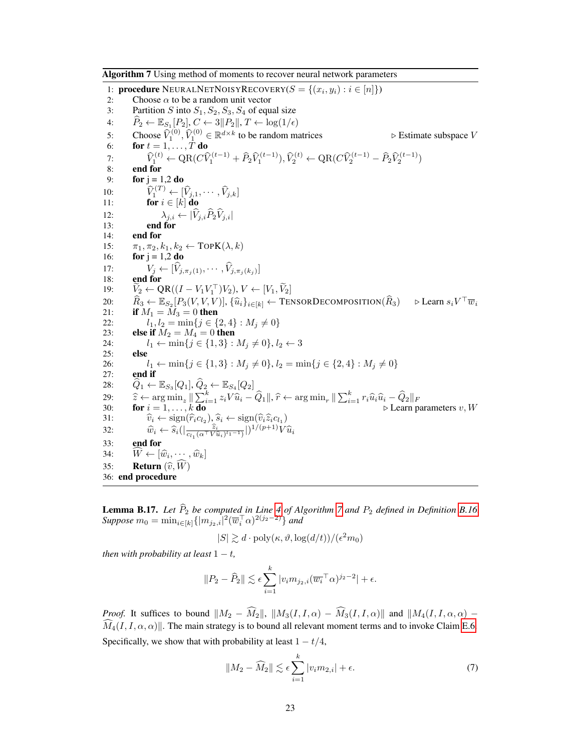<span id="page-6-0"></span>Algorithm 7 Using method of moments to recover neural network parameters 1: **procedure** NEURALNETNOISYRECOVERY( $S = \{(x_i, y_i) : i \in [n]\}$ ) 2: Choose  $\alpha$  to be a random unit vector 3: Partition S into  $S_1, S_2, S_3, S_4$  of equal size 4:  $\widehat{P}_2 \leftarrow \mathbb{E}_{S_1}[P_2], C \leftarrow 3||P_2||, T \leftarrow \log(1/\epsilon)$ 5: Choose  $\widehat{V}_1^{(0)}, \widehat{V}_1^{(0)} \in \mathbb{R}^{d \times k}$  to be random matrices  $\triangleright$  Estimate subspace V 6: **for**  $t = 1, \ldots, T$  **do** 7:  $\widehat{V}_1^{(t)} \leftarrow \text{QR}(C\widehat{V}_1^{(t-1)} + \widehat{P}_2\widehat{V}_1^{(t-1)}), \widehat{V}_2^{(t)} \leftarrow \text{QR}(C\widehat{V}_2^{(t-1)} - \widehat{P}_2\widehat{V}_2^{(t-1)})$  $8:$ 9: **for**  $j = 1,2$  **do** 10:  $\widehat{V}_1^{(T)} \leftarrow [\widehat{V}_{j,1}, \cdots, \widehat{V}_{j,k}]$ <br>11: **for**  $i \in [k]$  **do** 12:  $\lambda_{j,i} \leftarrow |V_{j,i}P_2V_{j,i}|$ <br>13: **end for** 14: end for 15:  $\pi_1, \pi_2, k_1, k_2 \leftarrow \text{TOPK}(\lambda, k)$ 16: **for**  $j = 1,2$  **do** 17:  $V_j \leftarrow [V_{j,\pi_j(1)}, \cdots, V_{j,\pi_j(k_j)}]$ <br>19.  $\cdots$  or  $\mathbf{f}_{\text{gen}}$ 18: end for 19:  $\widetilde{V}_2 \leftarrow \mathbf{QR}((I - V_1 V_1^\top) V_2), V \leftarrow [V_1, \widetilde{V}_2]$ 19.  $v_2 \leftarrow \text{QR}((1 - v_1v_1) v_2), v \leftarrow [v_1, v_2]$ <br>
20:  $\hat{R}_3 \leftarrow \mathbb{E}_{S_2}[P_3(V, V, V)], \{\hat{u}_i\}_{i \in [k]} \leftarrow \text{TENSORDecOMPOSITION}(\hat{R}_3) \Rightarrow \text{Learn } s_i V^\top \overline{w}_i$ <br>
21: if  $M_1 = M_2 = 0$  then 21: **if**  $M_1 = M_3 = 0$  then 22:  $l_1, l_2 = \min\{j \in \{2, 4\} : M_j \neq 0\}$ 23: **else if**  $M_2 = M_4 = 0$  then 24:  $l_1 \leftarrow \min\{j \in \{1, 3\} : M_j \neq 0\}, l_2 \leftarrow 3$ <br>25: **else** else 26:  $l_1 \leftarrow \min\{j \in \{1, 3\} : M_j \neq 0\}, l_2 = \min\{j \in \{2, 4\} : M_j \neq 0\}$ <br>27: **end if** end if 28:  $\widehat{Q}_1 \leftarrow \mathbb{E}_{S_3}[Q_1], \widehat{Q}_2 \leftarrow \mathbb{E}_{S_4}[Q_2]$ 29:  $\hat{z} \leftarrow \arg \min_{z} \|\sum_{i=1}^{k} z_i V \hat{u}_i - \hat{Q}_1\|, \hat{r} \leftarrow \arg \min_{r} \|\sum_{i=1}^{k} r_i \hat{u}_i \hat{u}_i - \hat{Q}_2\|_F$ <br>30: **for**  $i = 1, ..., k$  **do**<br>b Learn parameters v, W 31:  $\widehat{v}_i \leftarrow \text{sign}(\widehat{r}_i c_{l_2}), \widehat{s}_i \leftarrow \text{sign}(\widehat{v}_i \widehat{z}_i c_{l_1})$ 32:  $\widehat{w}_i \leftarrow \widehat{s}_i \left( \left| \frac{\widehat{z}_i}{c_{l_1} (\alpha^{\top} V \widehat{u}_i)^{l_1 - 1}} \right| \right)^{1/(p+1)} V \widehat{u}_i$ 33: end for 34:  $W \leftarrow [\widehat{w}_i, \cdots, \widehat{w}_k]$ <br>
25 **D**etum ( $\widehat{w}_i$ ) 35: **Return**  $(\widehat{v}, \widehat{W})$ 36: end procedure

**Lemma B.17.** *Let*  $P_2$  *be computed in Line* [4](#page-6-0) *of Algorithm 7 and*  $P_2$  *defined in Definition [B.16.](#page-5-2) Suppose*  $m_0 = \min_{i \in [k]} \{ |m_{j_2,i}|^2 (\overline{w}_i^\top \alpha)^{2(j_2-2)} \}$  *and* 

$$
|S| \gtrsim d \cdot \text{poly}(\kappa, \vartheta, \log(d/t)) / (\epsilon^2 m_0)
$$

*then with probability at least*  $1 - t$ ,

$$
||P_2 - \widehat{P}_2|| \lesssim \epsilon \sum_{i=1}^k |v_i m_{j_2,i}(\overline{w_i}^\top \alpha)^{j_2-2}| + \epsilon.
$$

*Proof.* It suffices to bound  $||M_2 - \widehat{M}_2||$ ,  $||M_3(I, I, \alpha) - \widehat{M}_3(I, I, \alpha)||$  and  $||M_4(I, I, \alpha, \alpha) \widehat{M}_4(I, I, \alpha, \alpha)$ ||. The main strategy is to bound all relevant moment terms and to invoke Claim [E.6.](#page-15-0) Specifically, we show that with probability at least  $1 - t/4$ ,

<span id="page-6-1"></span>
$$
||M_2 - \widehat{M}_2|| \lesssim \epsilon \sum_{i=1}^k |v_i m_{2,i}| + \epsilon. \tag{7}
$$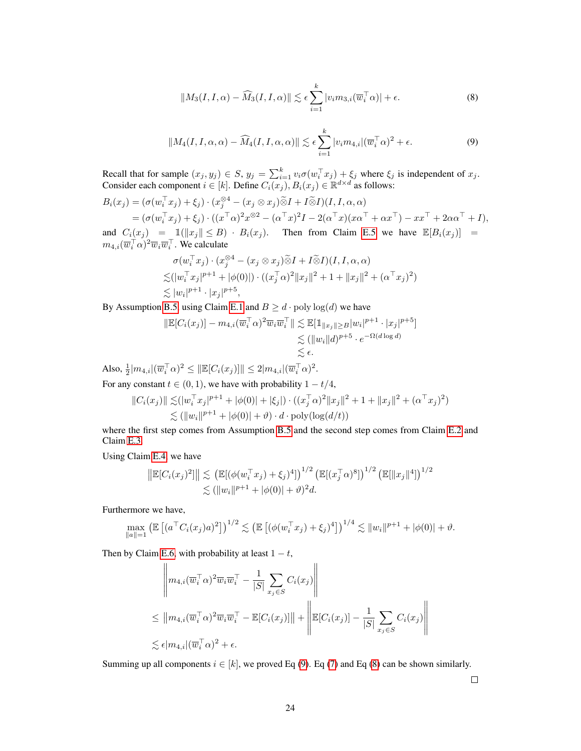<span id="page-7-1"></span><span id="page-7-0"></span>
$$
||M_3(I, I, \alpha) - \widehat{M}_3(I, I, \alpha)|| \lesssim \epsilon \sum_{i=1}^k |v_i m_{3,i}(\overline{w}_i^{\top} \alpha)| + \epsilon.
$$
 (8)

$$
||M_4(I, I, \alpha, \alpha) - \widehat{M}_4(I, I, \alpha, \alpha)|| \lesssim \epsilon \sum_{i=1}^k |v_i m_{4,i}| (\overline{w}_i^{\top} \alpha)^2 + \epsilon.
$$
 (9)

Recall that for sample  $(x_j, y_j) \in S$ ,  $y_j = \sum_{i=1}^k v_i \sigma(w_i^\top x_j) + \xi_j$  where  $\xi_j$  is independent of  $x_j$ . Consider each component  $i \in [k]$ . Define  $C_i(x_j), B_i(x_j) \in \mathbb{R}^{d \times d}$  as follows:

$$
B_i(x_j) = (\sigma(w_i^{\top} x_j) + \xi_j) \cdot (x_j^{\otimes 4} - (x_j \otimes x_j) \widetilde{\otimes} I + I \widetilde{\otimes} I)(I, I, \alpha, \alpha)
$$
  
= (\sigma(w\_i^{\top} x\_j) + \xi\_j) \cdot ((x^{\top} \alpha)^2 x^{\otimes 2} - (\alpha^{\top} x)^2 I - 2(\alpha^{\top} x)(x \alpha^{\top} + \alpha x^{\top}) - x x^{\top} + 2\alpha \alpha^{\top} + I),  
and  $G(x_j) = \mathbb{I}(\|x_j\| \leq B) = B(x_j)$ . Then from Glim E5, we have  $\mathbb{E}[B(x_j)] =$ 

and  $C_i(x_j) = \mathbb{1}(\|x_j\| \leq B) \cdot B_i(x_j)$ . Then from Claim [E.5](#page-15-1) we have  $\mathbb{E}[B_i(x_j)] =$  $m_{4,i}(\overline{w}_i^{\top} \alpha)^2 \overline{w}_i \overline{w}_i^{\top}$ . We calculate

$$
\sigma(w_i^\top x_j) \cdot (x_j^{\otimes 4} - (x_j \otimes x_j) \widetilde{\otimes} I + I \widetilde{\otimes} I)(I, I, \alpha, \alpha)
$$
  

$$
\lesssim (|w_i^\top x_j|^{p+1} + |\phi(0)|) \cdot ((x_j^\top \alpha)^2 ||x_j||^2 + 1 + ||x_j||^2 + (\alpha^\top x_j)^2)
$$
  

$$
\lesssim |w_i|^{p+1} \cdot |x_j|^{p+5},
$$

By Assumption [B.5,](#page-3-0) using Claim [E.1](#page-15-2) and  $B \ge d \cdot \text{poly}\log(d)$  we have

$$
\|\mathbb{E}[C_i(x_j)] - m_{4,i}(\overline{w}_i^{\top}\alpha)^2 \overline{w}_i \overline{w}_i^{\top}\| \lesssim \mathbb{E}[\mathbb{1}_{\|x_j\| \geq B} |w_i|^{p+1} \cdot |x_j|^{p+5}]
$$
  

$$
\lesssim (\|w_i\|d)^{p+5} \cdot e^{-\Omega(d \log d)}
$$
  

$$
\lesssim \epsilon.
$$

Also,  $\frac{1}{2} |m_{4,i}| (\overline{w}_i^{\top} \alpha)^2 \leq ||\mathbb{E}[C_i(x_j)]|| \leq 2 |m_{4,i}| (\overline{w}_i^{\top} \alpha)^2$ .

For any constant  $t \in (0, 1)$ , we have with probability  $1 - t/4$ ,

$$
||C_i(x_j)|| \lesssim (|w_i^\top x_j|^{p+1} + |\phi(0)| + |\xi_j|) \cdot ((x_j^\top \alpha)^2 ||x_j||^2 + 1 + ||x_j||^2 + (\alpha^\top x_j)^2)
$$
  
 
$$
\lesssim (||w_i||^{p+1} + |\phi(0)| + \vartheta) \cdot d \cdot \text{poly}(\log(d/t))
$$

where the first step comes from Assumption [B.5](#page-3-0) and the second step comes from Claim [E.2](#page-15-3) and Claim [E.3.](#page-15-4)

Using Claim [E.4,](#page-15-5) we have

$$
\|\mathbb{E}[C_i(x_j)^2]\| \lesssim \left(\mathbb{E}[(\phi(w_i^\top x_j) + \xi_j)^4]\right)^{1/2} \left(\mathbb{E}[(x_j^\top \alpha)^8]\right)^{1/2} \left(\mathbb{E}[\|x_j\|^4]\right)^{1/2} \lesssim (\|w_i\|^{p+1} + |\phi(0)| + \vartheta)^2 d.
$$

Furthermore we have,

 $\overline{11}$ 

$$
\max_{\|a\|=1} \left( \mathbb{E} \left[ (a^\top C_i(x_j) a)^2 \right] \right)^{1/2} \lesssim \left( \mathbb{E} \left[ (\phi(w_i^\top x_j) + \xi_j)^4 \right] \right)^{1/4} \lesssim \|w_i\|^{p+1} + |\phi(0)| + \vartheta.
$$

Then by Claim [E.6,](#page-15-0) with probability at least  $1 - t$ ,

$$
\|m_{4,i}(\overline{w}_i^{\top}\alpha)^2\overline{w}_i\overline{w}_i^{\top} - \frac{1}{|S|} \sum_{x_j \in S} C_i(x_j)\|
$$
  
\n
$$
\leq \|m_{4,i}(\overline{w}_i^{\top}\alpha)^2\overline{w}_i\overline{w}_i^{\top} - \mathbb{E}[C_i(x_j)]\| + \left\|\mathbb{E}[C_i(x_j)] - \frac{1}{|S|} \sum_{x_j \in S} C_i(x_j)\right\|
$$
  
\n
$$
\lesssim \epsilon |m_{4,i}|(\overline{w}_i^{\top}\alpha)^2 + \epsilon.
$$

<span id="page-7-2"></span>Summing up all components  $i \in [k]$ , we proved Eq [\(9\)](#page-7-0). Eq [\(7\)](#page-6-1) and Eq [\(8\)](#page-7-1) can be shown similarly.

 $\Box$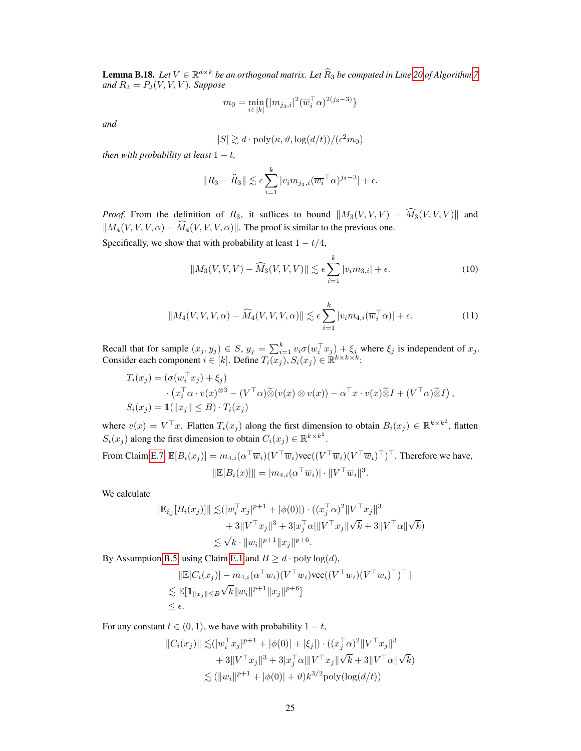**Lemma B.18.** Let  $V \in \mathbb{R}^{d \times k}$  *be an orthogonal matrix. Let*  $\widehat{R}_3$  *be computed in Line* [20](#page-6-0) of Algorithm [7](#page-6-0) *and*  $R_3 = P_3(V, V, V)$ *. Suppose* 

$$
m_0 = \min_{i \in [k]} \{ |m_{j_3,i}|^2 (\overline{w}_i^{\top} \alpha)^{2(j_3-3)} \}
$$

*and*

$$
|S| \gtrsim d \cdot \mathrm{poly}(\kappa,\vartheta,\log(d/t))/(\epsilon^2 m_0)
$$

*then with probability at least*  $1 - t$ *,* 

$$
||R_3 - \widehat{R}_3|| \lesssim \epsilon \sum_{i=1}^k |v_i m_{j_3,i} (\overline{w_i}^\top \alpha)^{j_3-3}| + \epsilon.
$$

*Proof.* From the definition of R<sub>3</sub>, it suffices to bound  $||M_3(V, V, V) - \widehat{M}_3(V, V, V)||$  and  $||M_4(V, V, V, \alpha) - \widehat{M}_4(V, V, V, \alpha)||$ . The proof is similar to the previous one.

Specifically, we show that with probability at least  $1 - t/4$ ,

<span id="page-8-1"></span><span id="page-8-0"></span>
$$
||M_3(V, V, V) - \widehat{M}_3(V, V, V)|| \lesssim \epsilon \sum_{i=1}^k |v_i m_{3,i}| + \epsilon.
$$
 (10)

$$
||M_4(V, V, V, \alpha) - \widehat{M}_4(V, V, V, \alpha)|| \lesssim \epsilon \sum_{i=1}^k |v_i m_{4,i}(\overline{w}_i^{\top} \alpha)| + \epsilon.
$$
 (11)

Recall that for sample  $(x_j, y_j) \in S$ ,  $y_j = \sum_{i=1}^k v_i \sigma(w_i^\top x_j) + \xi_j$  where  $\xi_j$  is independent of  $x_j$ . Consider each component  $i \in [k]$ . Define  $T_i(x_j), S_i(x_j) \in \mathbb{R}^{k \times k \times k}$ :

$$
T_i(x_j) = (\sigma(w_i^{\top} x_j) + \xi_j)
$$
  
\n
$$
\cdot (x_i^{\top} \alpha \cdot v(x)^{\otimes 3} - (V^{\top} \alpha) \widetilde{\otimes} (v(x) \otimes v(x)) - \alpha^{\top} x \cdot v(x) \widetilde{\otimes} I + (V^{\top} \alpha) \widetilde{\otimes} I),
$$
  
\n
$$
S_i(x_j) = 1(||x_j|| \leq B) \cdot T_i(x_j)
$$

where  $v(x) = V^{\top}x$ . Flatten  $T_i(x_j)$  along the first dimension to obtain  $B_i(x_j) \in \mathbb{R}^{k \times k^2}$ , flatten  $S_i(x_j)$  along the first dimension to obtain  $C_i(x_j) \in \mathbb{R}^{k \times k^2}$ .

From Claim E.7, 
$$
\mathbb{E}[B_i(x_j)] = m_{4,i}(\alpha^{\top}\overline{w}_i)(V^{\top}\overline{w}_i)\text{vec}((V^{\top}\overline{w}_i)(V^{\top}\overline{w}_i)^{\top})^{\top}
$$
. Therefore we have,  

$$
\|\mathbb{E}[B_i(x)]\| = |m_{4,i}(\alpha^{\top}\overline{w}_i)| \cdot \|V^{\top}\overline{w}_i\|^3.
$$

We calculate

$$
\|\mathbb{E}_{\xi_j}[B_i(x_j)]\| \lesssim (|w_i^\top x_j|^{p+1} + |\phi(0)|) \cdot ((x_j^\top \alpha)^2 \|V^\top x_j\|^3 + 3\|V^\top x_j\|^3 + 3|x_j^\top \alpha| \|V^\top x_j\| \sqrt{k} + 3\|V^\top \alpha\| \sqrt{k}) \lesssim \sqrt{k} \cdot \|w_i\|^{p+1} \|x_j\|^{p+6}.
$$

By Assumption [B.5,](#page-3-0) using Claim [E.1](#page-15-2) and  $B \ge d \cdot \text{poly}\log(d)$ ,

$$
\|\mathbb{E}[C_i(x_j)] - m_{4,i}(\alpha^\top \overline{w}_i)(V^\top \overline{w}_i)\text{vec}((V^\top \overline{w}_i)(V^\top \overline{w}_i)^\top)^\top\|
$$
  
\$\leq\$ 
$$
\mathbb{E}[\mathbb{1}_{\|x_j\| \leq B} \sqrt{k} \|w_i\|^{p+1} \|x_j\|^{p+6}]
$$
  
\$\leq \epsilon\$.

For any constant  $t \in (0, 1)$ , we have with probability  $1 - t$ ,

$$
||C_i(x_j)|| \lesssim (|w_i^\top x_j|^{p+1} + |\phi(0)| + |\xi_j|) \cdot ((x_j^\top \alpha)^2 ||V^\top x_j||^3 + 3||V^\top x_j||^3 + 3|x_j^\top \alpha|||V^\top x_j||\sqrt{k} + 3||V^\top \alpha||\sqrt{k}) \lesssim (||w_i||^{p+1} + |\phi(0)| + \vartheta)k^{3/2} \text{poly}(\log(d/t))
$$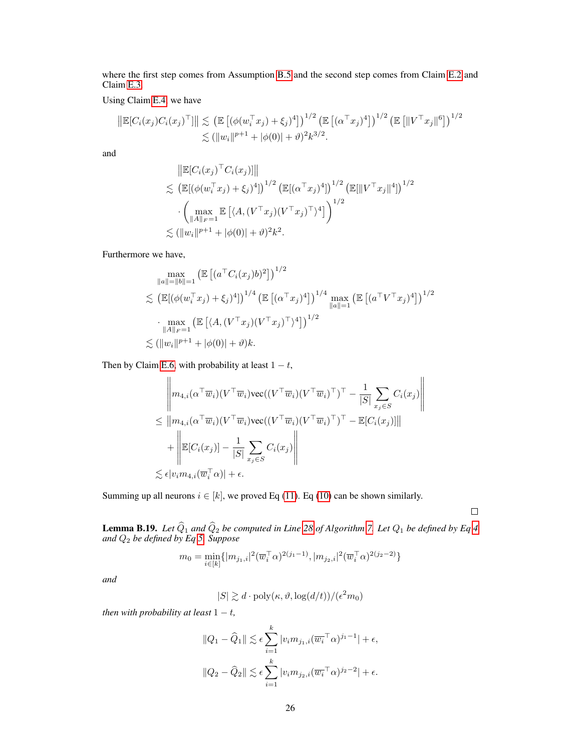where the first step comes from Assumption [B.5](#page-3-0) and the second step comes from Claim [E.2](#page-15-3) and Claim [E.3.](#page-15-4)

Using Claim [E.4,](#page-15-5) we have

$$
\|\mathbb{E}[C_i(x_j)C_i(x_j)^{\top}]\| \lesssim (\mathbb{E}[(\phi(w_i^{\top} x_j) + \xi_j)^4])^{1/2} (\mathbb{E}[(\alpha^{\top} x_j)^4])^{1/2} (\mathbb{E}[\|V^{\top} x_j\|^6])^{1/2}
$$
  

$$
\lesssim (\|w_i\|^{p+1} + |\phi(0)| + \vartheta)^2 k^{3/2}.
$$

and

$$
\|\mathbb{E}[C_i(x_j)^{\top} C_i(x_j)]\|
$$
  
\n
$$
\lesssim (\mathbb{E}[(\phi(w_i^{\top} x_j) + \xi_j)^4])^{1/2} (\mathbb{E}[(\alpha^{\top} x_j)^4])^{1/2} (\mathbb{E}[\|V^{\top} x_j\|^4])^{1/2}
$$
  
\n
$$
\cdot \left(\max_{\|A\|_F=1} \mathbb{E}[\langle A, (V^{\top} x_j)(V^{\top} x_j)^{\top} \rangle^4]\right)^{1/2}
$$
  
\n
$$
\lesssim (\|w_i\|_F^{p+1} + |\phi(0)| + \vartheta)^2 k^2.
$$

Furthermore we have,

$$
\max_{\|a\|=\|b\|=1} \left( \mathbb{E} \left[ (a^{\top} C_i(x_j) b)^2 \right] \right)^{1/2} \n\lesssim \left( \mathbb{E} [(\phi(w_i^{\top} x_j) + \xi_j)^4] \right)^{1/4} \left( \mathbb{E} \left[ (\alpha^{\top} x_j)^4 \right] \right)^{1/4} \max_{\|a\|=1} \left( \mathbb{E} \left[ (a^{\top} V^{\top} x_j)^4 \right] \right)^{1/2} \n\cdot \max_{\|A\|_F=1} \left( \mathbb{E} \left[ \langle A, (V^{\top} x_j) (V^{\top} x_j)^{\top} \rangle^4 \right] \right)^{1/2} \n\lesssim (\|w_i\|^{p+1} + |\phi(0)| + \vartheta) k.
$$

Then by Claim [E.6,](#page-15-0) with probability at least  $1 - t$ ,

$$
\|m_{4,i}(\alpha^{\top}\overline{w}_{i})(V^{\top}\overline{w}_{i})\text{vec}((V^{\top}\overline{w}_{i})(V^{\top}\overline{w}_{i})^{\top})^{\top} - \frac{1}{|S|}\sum_{x_{j}\in S}C_{i}(x_{j})\|
$$
  
\n
$$
\leq \|m_{4,i}(\alpha^{\top}\overline{w}_{i})(V^{\top}\overline{w}_{i})\text{vec}((V^{\top}\overline{w}_{i})(V^{\top}\overline{w}_{i})^{\top})^{\top} - \mathbb{E}[C_{i}(x_{j})]\|
$$
  
\n
$$
+ \left\|\mathbb{E}[C_{i}(x_{j})] - \frac{1}{|S|}\sum_{x_{j}\in S}C_{i}(x_{j})\right\|
$$
  
\n
$$
\lesssim \epsilon|v_{i}m_{4,i}(\overline{w}_{i}^{\top}\alpha)| + \epsilon.
$$

Summing up all neurons  $i \in [k]$ , we proved Eq [\(11\)](#page-8-0). Eq [\(10\)](#page-8-1) can be shown similarly.

 $\Box$ 

<span id="page-9-0"></span>**Lemma B.19.** *Let*  $Q_1$  *and*  $Q_2$  *be computed in Line* [28](#page-6-0) *of Algorithm* [7.](#page-6-0) *Let*  $Q_1$  *be defined by Eq* [4](#page-5-3) *and*  $Q_2$  *be defined by Eq* 4

$$
m_0 = \min_{i \in [k]} \{ |m_{j_1,i}|^2 (\overline{w}_i^{\top} \alpha)^{2(j_1-1)}, |m_{j_2,i}|^2 (\overline{w}_i^{\top} \alpha)^{2(j_2-2)} \}
$$

*and*

$$
|S| \gtrsim d \cdot \text{poly}(\kappa, \vartheta, \log(d/t)) / (\epsilon^2 m_0)
$$

*then with probability at least*  $1 - t$ *,* 

$$
||Q_1 - \widehat{Q}_1|| \lesssim \epsilon \sum_{i=1}^k |v_i m_{j_1,i}(\overline{w_i}^\top \alpha)^{j_1-1}| + \epsilon,
$$
  

$$
||Q_2 - \widehat{Q}_2|| \lesssim \epsilon \sum_{i=1}^k |v_i m_{j_2,i}(\overline{w_i}^\top \alpha)^{j_2-2}| + \epsilon.
$$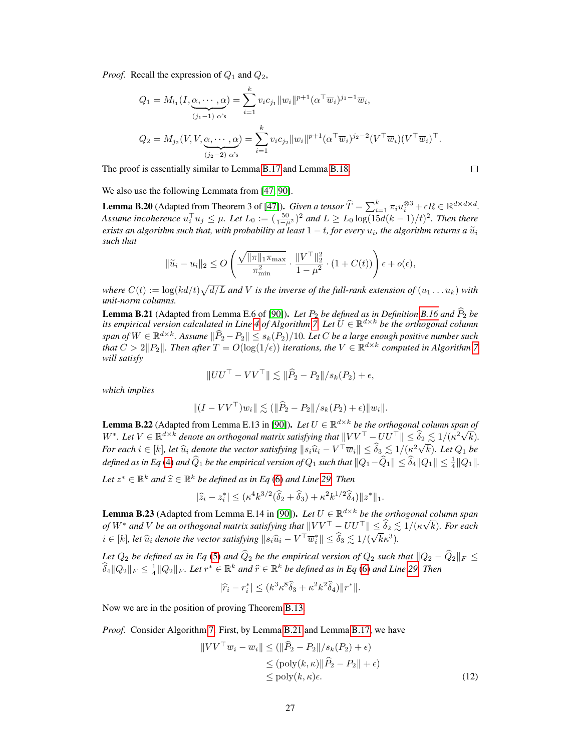*Proof.* Recall the expression of  $Q_1$  and  $Q_2$ ,

$$
Q_1 = M_{l_1}(I, \underbrace{\alpha, \cdots, \alpha}_{(j_1-1) \alpha^s}) = \sum_{i=1}^k v_i c_{j_1} ||w_i||^{p+1} (\alpha^{\top} \overline{w}_i)^{j_1-1} \overline{w}_i,
$$
  

$$
Q_2 = M_{j_2}(V, V, \underbrace{\alpha, \cdots, \alpha}_{(j_2-2) \alpha^s}) = \sum_{i=1}^k v_i c_{j_2} ||w_i||^{p+1} (\alpha^{\top} \overline{w}_i)^{j_2-2} (V^{\top} \overline{w}_i) (V^{\top} \overline{w}_i)^{\top}.
$$

The proof is essentially similar to Lemma [B.17](#page-5-5) and Lemma [B.18.](#page-7-2)

$$
\Box
$$

We also use the following Lemmata from [\[47,](#page--1-20) [90\]](#page--1-18).

<span id="page-10-1"></span>**Lemma B.20** (Adapted from Theorem 3 of [\[47\]](#page--1-20)). *Given a tensor*  $\hat{T} = \sum_{i=1}^{k} \pi_i u_i^{\otimes 3} + \epsilon R \in \mathbb{R}^{d \times d \times d}$ . Assume incoherence  $u_i^{\top}u_j \leq \mu$ . Let  $L_0 := (\frac{50}{1-\mu^2})^2$  and  $L \geq L_0 \log(15d(k-1)/t)^2$ . Then there *exists an algorithm such that, with probability at least*  $1 - t$ , *for every*  $u_i$ , *the algorithm returns a*  $\widetilde{u}_i$ <br>such that *such that*

$$
\|\widetilde{u}_i - u_i\|_2 \le O\left(\frac{\sqrt{\|\pi\|_1 \pi_{\max}}}{\pi_{\min}^2} \cdot \frac{\|V^\top\|_2^2}{1 - \mu^2} \cdot (1 + C(t))\right) \epsilon + o(\epsilon),
$$

where  $C(t):=\log(kd/t)\sqrt{d/L}$  and  $V$  is the inverse of the full-rank extension of  $(u_1 \dots u_k)$  with *unit-norm columns.*

<span id="page-10-0"></span>**Lemma B.21** (Adapted from Lemma E.6 of [\[90\]](#page--1-18)). *Let*  $P_2$  *be defined as in Definition [B.16](#page-5-2) and*  $\hat{P}_2$  *be* its empirical version calculated in Line [4](#page-6-0) of Algorithm  $\bar{7}$ . Let  $\check{U} \in \mathbb{R}^{d \times k}$  be the orthogonal column  $span\ of\ W\in\mathbb{R}^{d\times k}$ . Assume  $\|\widehat{P}_2-P_2\|\leq s_k(P_2)/10$ . Let C be a large enough positive number such that  $C > 2||P_2||$ . Then after  $T = O(\log(1/\epsilon))$  iterations, the  $V \in \mathbb{R}^{d \times k}$  computed in Algorithm [7](#page-6-0) *will satisfy*

$$
||UU^{\top} - VV^{\top}|| \lesssim ||\widehat{P}_2 - P_2||/s_k(P_2) + \epsilon,
$$

*which implies*

$$
||(I - V V^{\top}) w_i|| \lesssim (||\widehat{P}_2 - P_2||/s_k(P_2) + \epsilon)||w_i||.
$$

<span id="page-10-4"></span>**Lemma B.22** (Adapted from Lemma E.13 in [\[90\]](#page--1-18)). *Let*  $U \in \mathbb{R}^{d \times k}$  *be the orthogonal column span of* **Denote Branch Let**  $V \in \mathbb{R}^{d \times k}$  denote an orthogonal matrix satisfying that  $||VV^\top - UU^\top|| \leq \hat{\delta}_2 \leq 1/(\kappa^2 \sqrt{d})$ k)*. For each*  $i \in [k]$ *, let*  $\hat{u}_i$  *denote the vector satisfying*  $||s_i\hat{u}_i - V^\top \overline{w}_i|| \leq \hat{\delta}_3 \leq 1/(\kappa^2 \sqrt{\frac{k}{\kappa^2}})$ <br>*For each*  $i \in [k]$ *, let*  $\hat{u}_i$  *denote the vector satisfying*  $||s_i\hat{u}_i - V^\top \overline{w}_i|| \leq \hat{\delta}_$ k)*. Let* Q<sup>1</sup> *be* defined as in Eq [\(4\)](#page-5-3) and  $\widehat{Q}_1$  be the empirical version of  $Q_1$  such that  $||Q_1 - \widehat{Q}_1|| \leq \widehat{\delta}_4 ||Q_1|| \leq \frac{1}{4} ||Q_1||.$ 

 $Let z^* \in \mathbb{R}^k$  and  $\widehat{z} \in \mathbb{R}^k$  be defined as in Eq [\(6\)](#page-5-6) and Line [29.](#page-6-0) Then

$$
|\hat{z}_i - z_i^*| \leq (\kappa^4 k^{3/2} (\hat{\delta}_2 + \hat{\delta}_3) + \kappa^2 k^{1/2} \hat{\delta}_4) \|z^*\|_1.
$$

<span id="page-10-3"></span>**Lemma B.23** (Adapted from Lemma E.14 in [\[90\]](#page--1-18)). *Let*  $U \in \mathbb{R}^{d \times k}$  *be the orthogonal column span*  $p(T^*)$  *of*  $W^*$  *and*  $V$  *be an orthogonal matrix satisfying that*  $\|VV^\top - UV^\top\| \leq \hat{\delta}_2 \lesssim 1/(\kappa\sqrt{k})$ *. For each*  $i \in [k]$ , let  $\widehat{u}_i$  denote the vector satisfying  $||s_i\widehat{u}_i - V^\top \overline{w}_i^*|| \leq \widehat{\delta}_3 \lesssim 1/(\sqrt{k}\kappa^3)$ .

*Let*  $Q_2$  *be defined as in Eq* [\(5\)](#page-5-4) *and*  $\hat{Q}_2$  *be the empirical version of*  $Q_2$  *such that*  $||Q_2 - \hat{Q}_2||_F \le$  $\widehat{\delta}_4 \|Q_2\|_F \leq \frac{1}{4} \|Q_2\|_F$ . Let  $r^* \in \mathbb{R}^k$  and  $\widehat{r} \in \mathbb{R}^k$  be defined as in Eq [\(6\)](#page-5-6) and Line [29.](#page-6-0) Then

<span id="page-10-2"></span>
$$
|\widehat{r}_i - r_i^*| \le (k^3 \kappa^8 \widehat{\delta}_3 + \kappa^2 k^2 \widehat{\delta}_4) \|r^*\|.
$$

Now we are in the position of proving Theorem [B.13.](#page-4-0)

*Proof.* Consider Algorithm [7.](#page-6-0) First, by Lemma [B.21](#page-10-0) and Lemma [B.17,](#page-5-5) we have

$$
||VV^{\top}\overline{w}_i - \overline{w}_i|| \le (||\widehat{P}_2 - P_2||/s_k(P_2) + \epsilon)
$$
  
\n
$$
\le (\text{poly}(k, \kappa)||\widehat{P}_2 - P_2|| + \epsilon)
$$
  
\n
$$
\le \text{poly}(k, \kappa)\epsilon.
$$
 (12)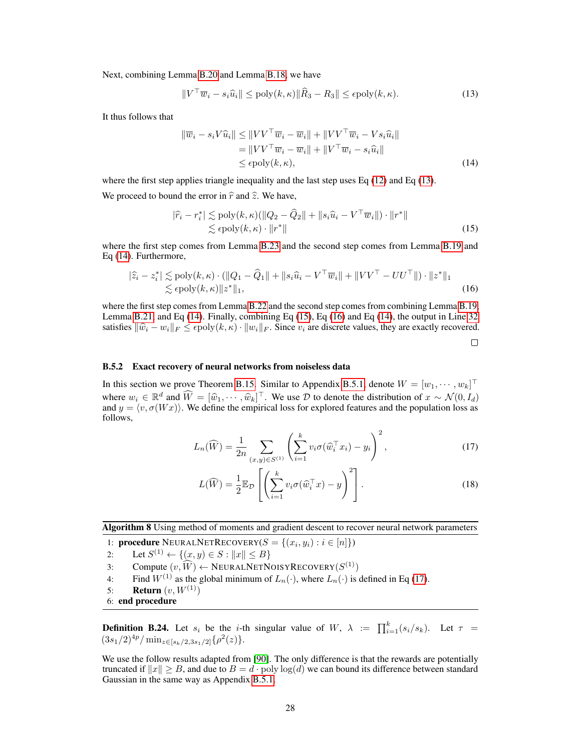Next, combining Lemma [B.20](#page-10-1) and Lemma [B.18,](#page-7-2) we have

$$
||V^{\top}\overline{w}_i - s_i \widehat{u}_i|| \le \text{poly}(k,\kappa) ||\widehat{R}_3 - R_3|| \le \epsilon \text{poly}(k,\kappa). \tag{13}
$$

It thus follows that

$$
\|\overline{w}_i - s_i V \widehat{u}_i\| \le \|VV^\top \overline{w}_i - \overline{w}_i\| + \|VV^\top \overline{w}_i - V s_i \widehat{u}_i\|
$$
  
\n
$$
= \|VV^\top \overline{w}_i - \overline{w}_i\| + \|V^\top \overline{w}_i - s_i \widehat{u}_i\|
$$
  
\n
$$
\le \epsilon \text{poly}(k, \kappa), \tag{14}
$$

where the first step applies triangle inequality and the last step uses Eq  $(12)$  and Eq  $(13)$ .

We proceed to bound the error in  $\hat{r}$  and  $\hat{z}$ . We have,

$$
|\hat{r}_i - r_i^*| \lesssim \text{poly}(k, \kappa) (\|Q_2 - \widehat{Q}_2\| + \|s_i \widehat{u}_i - V^\top \overline{w}_i\|) \cdot \|r^*\|
$$
  

$$
\lesssim \text{epoly}(k, \kappa) \cdot \|r^*\|
$$
 (15)

where the first step comes from Lemma [B.23](#page-10-3) and the second step comes from Lemma [B.19](#page-9-0) and Eq [\(14\)](#page-11-2). Furthermore,

$$
|\hat{z}_i - z_i^*| \lesssim \text{poly}(k, \kappa) \cdot (\|Q_1 - \widehat{Q}_1\| + \|s_i \widehat{u}_i - V^\top \overline{w}_i\| + \|VV^\top - UU^\top\|) \cdot \|z^*\|_1
$$
  
 
$$
\lesssim \text{epoly}(k, \kappa) \|z^*\|_1,
$$
 (16)

where the first step comes from Lemma [B.22](#page-10-4) and the second step comes from combining Lemma [B.19,](#page-9-0) Lemma [B.21,](#page-10-0) and Eq [\(14\)](#page-11-2). Finally, combining Eq [\(15\)](#page-11-3), Eq [\(16\)](#page-11-4) and Eq [\(14\)](#page-11-2), the output in Line [32](#page-6-0) satisfies  $\|\hat{w}_i - w_i\|_F \le \epsilon \text{poly}(k, \kappa) \cdot \|w_i\|_F$ . Since  $v_i$  are discrete values, they are exactly recovered.

<span id="page-11-5"></span><span id="page-11-4"></span><span id="page-11-3"></span><span id="page-11-2"></span><span id="page-11-1"></span>

## <span id="page-11-0"></span>B.5.2 Exact recovery of neural networks from noiseless data

In this section we prove Theorem [B.15.](#page-5-0) Similar to Appendix [B.5.1,](#page-5-1) denote  $W = [w_1, \dots, w_k]^\top$ where  $w_i \in \mathbb{R}^d$  and  $\widehat{W} = [\widehat{w}_1, \cdots, \widehat{w}_k]^\top$ . We use  $\mathcal D$  to denote the distribution of  $x \sim \mathcal N(0, I_d)$ <br>and  $y = \langle v, \sigma(Wx) \rangle$ . We define the empirical loss for explored features and the population loss as and  $y = \langle v, \sigma(Wx) \rangle$ . We define the empirical loss for explored features and the population loss as follows,

$$
L_n(\widehat{W}) = \frac{1}{2n} \sum_{(x,y)\in S^{(1)}} \left( \sum_{i=1}^k v_i \sigma(\widehat{w}_i^\top x_i) - y_i \right)^2, \tag{17}
$$

$$
L(\widehat{W}) = \frac{1}{2} \mathbb{E}_{\mathcal{D}} \left[ \left( \sum_{i=1}^{k} v_i \sigma(\widehat{w}_i^{\top} x) - y \right)^2 \right].
$$
 (18)

Algorithm 8 Using method of moments and gradient descent to recover neural network parameters

1: **procedure** NEURALNETRECOVERY( $S = \{(x_i, y_i) : i \in [n]\}$ ) 2: Let  $S^{(1)} \leftarrow \{(x, y) \in S : ||x|| \leq B\}$ 

3: Compute  $(v, \widehat{W}) \leftarrow \text{NEURALNETNOISYRECOVERY}(S^{(1)})$ 

4: Find  $W^{(1)}$  as the global minimum of  $L_n(\cdot)$ , where  $L_n(\cdot)$  is defined in Eq [\(17\)](#page-11-5).

```
5: Return (v, W^{(1)})
```
6: end procedure

**Definition B.24.** Let  $s_i$  be the *i*-th singular value of  $W$ ,  $\lambda := \prod_{i=1}^k (s_i/s_k)$ . Let  $\tau =$  $(3s_1/2)^{4p}/\min_{z\in[s_k/2,3s_1/2]}\{\rho^2(z)\}.$ 

<span id="page-11-6"></span>We use the follow results adapted from [\[90\]](#page--1-18). The only difference is that the rewards are potentially truncated if  $||x|| \ge B$ , and due to  $B = d \cdot \text{poly}\log(d)$  we can bound its difference between standard Gaussian in the same way as Appendix [B.5.1.](#page-5-1)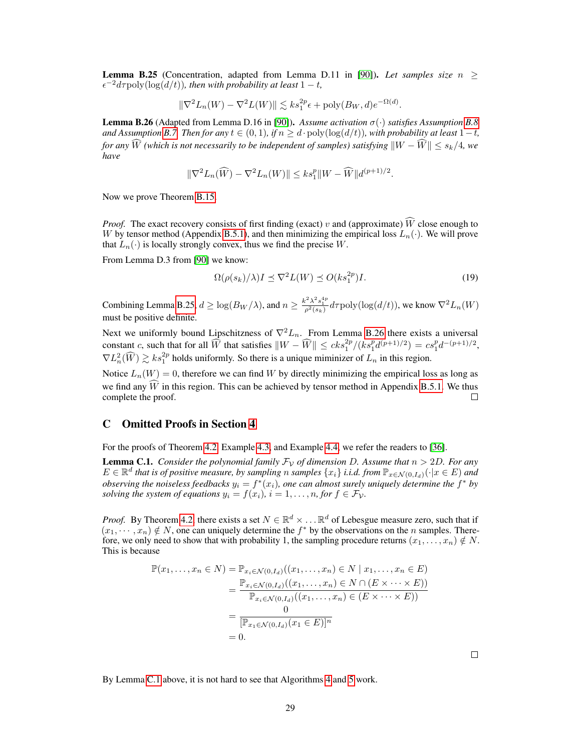**Lemma B.25** (Concentration, adapted from Lemma D.11 in [\[90\]](#page--1-18)). Let samples size  $n >$  $\epsilon^{-2}d\tau$ poly(log( $d/t$ )), then with probability at least  $1-t$ ,

$$
\|\nabla^2 L_n(W) - \nabla^2 L(W)\| \lesssim k s_1^{2p} \epsilon + \text{poly}(B_W, d) e^{-\Omega(d)}.
$$

<span id="page-12-0"></span>**Lemma B.26** (Adapted from Lemma D.16 in [\[90\]](#page--1-18)). *Assume activation*  $\sigma(\cdot)$  *satisfies Assumption [B.8](#page-3-4) and Assumption [B.7.](#page-3-3) Then for any*  $t \in (0,1)$ *, if*  $n \geq d \cdot \text{poly}(\log(d/t))$ *, with probability at least*  $1-t$ *, for any*  $\hat{W}$  *(which is not necessarily to be independent of samples) satisfying*  $\|W - \hat{W}\| \leq s_k/4$ , we *have*

$$
\|\nabla^2 L_n(\widehat{W}) - \nabla^2 L_n(W)\| \leq k s_1^p \|W - \widehat{W}\| d^{(p+1)/2}.
$$

Now we prove Theorem [B.15.](#page-5-0)

*Proof.* The exact recovery consists of first finding (exact) v and (approximate)  $\hat{W}$  close enough to W by tensor method (Appendix [B.5.1\)](#page-5-1), and then minimizing the empirical loss  $L_n(\cdot)$ . We will prove that  $L_n(\cdot)$  is locally strongly convex, thus we find the precise W.

From Lemma D.3 from [\[90\]](#page--1-18) we know:

$$
\Omega(\rho(s_k)/\lambda)I \preceq \nabla^2 L(W) \preceq O(ks_1^{2p})I. \tag{19}
$$

Combining Lemma [B.25,](#page-11-6)  $d \ge \log(B_W/\lambda)$ , and  $n \ge \frac{k^2 \lambda^2 s_1^{4p}}{\rho^2(s_k)} d\tau$  poly $(\log(d/t))$ , we know  $\nabla^2 L_n(W)$ must be positive definite.

Next we uniformly bound Lipschitzness of  $\nabla^2 L_n$ . From Lemma [B.26](#page-12-0) there exists a universal constant c, such that for all  $\widehat{W}$  that satisfies  $\|W - \widehat{W}\| \leq cks_1^{2p}/(ks_1^p d^{(p+1)/2}) = cs_1^p d^{-(p+1)/2}$ ,  $\nabla L_n^2(\widehat{W}) \gtrsim ks_1^{2p}$  holds uniformly. So there is a unique miminizer of  $L_n$  in this region.

Notice  $L_n(W) = 0$ , therefore we can find W by directly minimizing the empirical loss as long as we find any  $\widehat{W}$  in this region. This can be achieved by tensor method in Appendix [B.5.1.](#page-5-1) We thus complete the proof. complete the proof.

## C Omitted Proofs in Section [4](#page--1-21)

For the proofs of Theorem [4.2,](#page--1-22) Example [4.3,](#page--1-23) and Example [4.4,](#page--1-24) we refer the readers to [\[36\]](#page--1-25).

<span id="page-12-1"></span>**Lemma C.1.** *Consider the polynomial family*  $\mathcal{F}_V$  *of dimension* D. Assume that  $n > 2D$ . For any  $E \in \mathbb{R}^d$  that is of positive measure, by sampling *n* samples  $\{x_i\}$  *i.i.d. from*  $\mathbb{P}_{x \in \mathcal{N}(0,I_d)}(\cdot|x \in E)$  and *observing the noiseless feedbacks*  $y_i = f^*(x_i)$ , one can almost surely uniquely determine the  $f^*$  by *solving the system of equations*  $y_i = f(x_i)$ ,  $i = 1, ..., n$ , for  $f \in \mathcal{F}_\mathcal{V}$ .

*Proof.* By Theorem [4.2,](#page--1-22) there exists a set  $N \in \mathbb{R}^d \times \dots \mathbb{R}^d$  of Lebesgue measure zero, such that if  $(x_1, \dots, x_n) \notin N$ , one can uniquely determine the  $f^*$  by the observations on the n samples. Therefore, we only need to show that with probability 1, the sampling procedure returns  $(x_1, \ldots, x_n) \notin N$ . This is because

$$
\mathbb{P}(x_1, ..., x_n \in N) = \mathbb{P}_{x_i \in \mathcal{N}(0, I_d)}((x_1, ..., x_n) \in N \mid x_1, ..., x_n \in E)
$$
  
= 
$$
\frac{\mathbb{P}_{x_i \in \mathcal{N}(0, I_d)}((x_1, ..., x_n) \in N \cap (E \times \cdots \times E))}{\mathbb{P}_{x_i \in \mathcal{N}(0, I_d)}((x_1, ..., x_n) \in (E \times \cdots \times E))}
$$
  
= 
$$
\frac{0}{[\mathbb{P}_{x_1 \in \mathcal{N}(0, I_d)}(x_1 \in E)]^n}
$$
  
= 0.

 $\Box$ 

By Lemma [C.1](#page-12-1) above, it is not hard to see that Algorithms [4](#page--1-26) and [5](#page--1-27) work.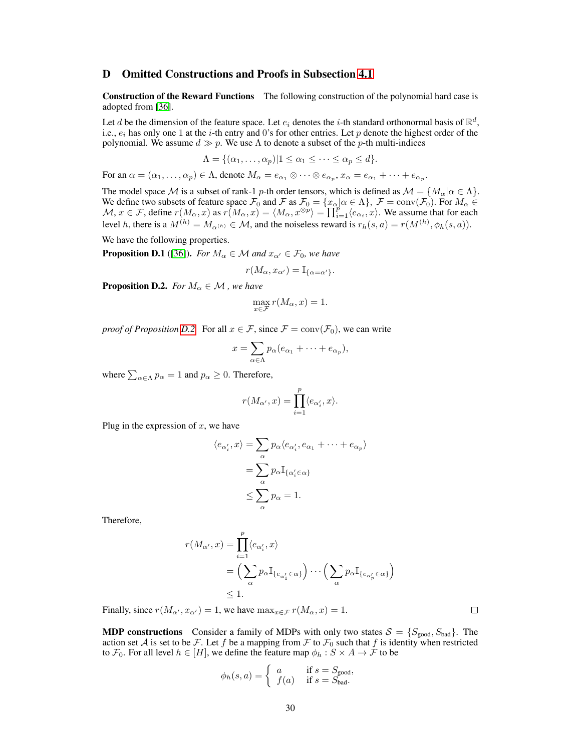## D Omitted Constructions and Proofs in Subsection [4.1](#page--1-28)

Construction of the Reward Functions The following construction of the polynomial hard case is adopted from [\[36\]](#page--1-25).

Let d be the dimension of the feature space. Let  $e_i$  denotes the *i*-th standard orthonormal basis of  $\mathbb{R}^d$ , i.e.,  $e_i$  has only one 1 at the *i*-th entry and 0's for other entries. Let p denote the highest order of the polynomial. We assume  $d \gg p$ . We use  $\Lambda$  to denote a subset of the p-th multi-indices

$$
\Lambda = \{(\alpha_1, \ldots, \alpha_p) | 1 \leq \alpha_1 \leq \cdots \leq \alpha_p \leq d\}.
$$

For an  $\alpha = (\alpha_1, \ldots, \alpha_p) \in \Lambda$ , denote  $M_{\alpha} = e_{\alpha_1} \otimes \cdots \otimes e_{\alpha_p}$ ,  $x_{\alpha} = e_{\alpha_1} + \cdots + e_{\alpha_p}$ .

The model space M is a subset of rank-1 p-th order tensors, which is defined as  $M = \{M_{\alpha} | \alpha \in \Lambda\}.$ We define two subsets of feature space  $\mathcal{F}_0$  and  $\mathcal{F}$  as  $\mathcal{F}_0 = \{x_\alpha | \alpha \in \Lambda\}$ ,  $\mathcal{F} = \text{conv}(\mathcal{F}_0)$ . For  $M_\alpha \in \Lambda$  $M, x \in \mathcal{F}$ , define  $r(M_\alpha, x)$  as  $r(M_\alpha, x) = \langle M_\alpha, x^{\otimes p} \rangle = \prod_{i=1}^p \langle e_{\alpha_i}, x \rangle$ . We assume that for each level h, there is a  $M^{(h)} = M_{\alpha^{(h)}} \in \mathcal{M}$ , and the noiseless reward is  $r_h(s, a) = r(M^{(h)}, \phi_h(s, a))$ .

We have the following properties.

<span id="page-13-1"></span>**Proposition D.1** ([\[36\]](#page--1-25)). *For*  $M_{\alpha} \in \mathcal{M}$  *and*  $x_{\alpha'} \in \mathcal{F}_0$ *, we have* 

$$
r(M_{\alpha}, x_{\alpha'}) = \mathbb{I}_{\{\alpha = \alpha'\}}.
$$

<span id="page-13-0"></span>**Proposition D.2.** *For*  $M_{\alpha} \in \mathcal{M}$  *, we have* 

$$
\max_{x \in \mathcal{F}} r(M_{\alpha}, x) = 1.
$$

*proof of Proposition [D.2.](#page-13-0)* For all  $x \in \mathcal{F}$ , since  $\mathcal{F} = \text{conv}(\mathcal{F}_0)$ , we can write

$$
x=\sum_{\alpha\in\Lambda}p_{\alpha}(e_{\alpha_1}+\cdots+e_{\alpha_p}),
$$

where  $\sum_{\alpha \in \Lambda} p_{\alpha} = 1$  and  $p_{\alpha} \ge 0$ . Therefore,

$$
r(M_{\alpha'}, x) = \prod_{i=1}^{p} \langle e_{\alpha'_i}, x \rangle.
$$

Plug in the expression of  $x$ , we have

$$
\langle e_{\alpha'_i}, x \rangle = \sum_{\alpha} p_{\alpha} \langle e_{\alpha'_i}, e_{\alpha_1} + \dots + e_{\alpha_p} \rangle
$$

$$
= \sum_{\alpha} p_{\alpha} \mathbb{I}_{\{\alpha'_i \in \alpha\}}
$$

$$
\leq \sum_{\alpha} p_{\alpha} = 1.
$$

Therefore,

$$
r(M_{\alpha'}, x) = \prod_{i=1}^{p} \langle e_{\alpha'_i}, x \rangle
$$
  
= 
$$
\left(\sum_{\alpha} p_{\alpha} \mathbb{I}_{\{e_{\alpha'_1} \in \alpha\}}\right) \cdots \left(\sum_{\alpha} p_{\alpha} \mathbb{I}_{\{e_{\alpha'_p} \in \alpha\}}\right)
$$
  
\$\leq 1\$.

Finally, since  $r(M_{\alpha'}, x_{\alpha'}) = 1$ , we have  $\max_{x \in \mathcal{F}} r(M_{\alpha}, x) = 1$ .

**MDP constructions** Consider a family of MDPs with only two states  $S = \{S_{good}, S_{bad}\}\$ . The action set A is set to be F. Let f be a mapping from F to  $\mathcal{F}_0$  such that f is identity when restricted to  $\mathcal{F}_0.$  For all level  $h\in[H],$  we define the feature map  $\phi_h:S\times A\rightarrow\mathcal{F}$  to be

$$
\phi_h(s, a) = \begin{cases} a & \text{if } s = S_{\text{good}}, \\ f(a) & \text{if } s = S_{\text{bad}}. \end{cases}
$$

 $\Box$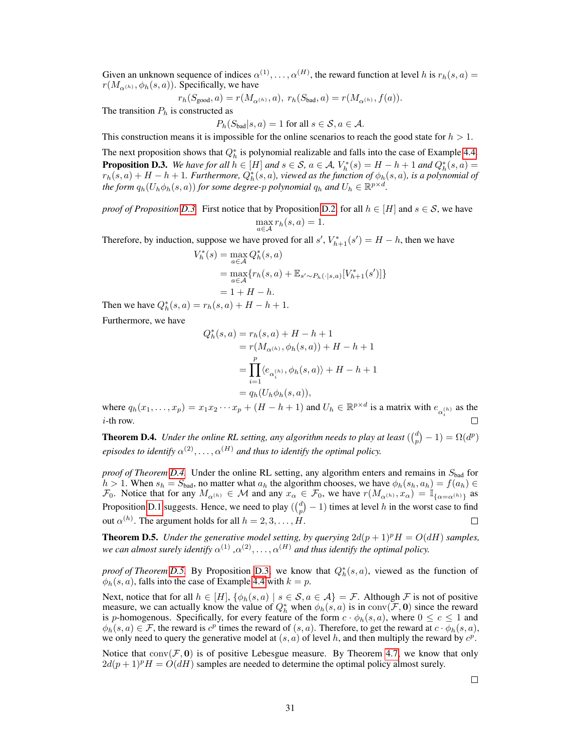Given an unknown sequence of indices  $\alpha^{(1)}, \ldots, \alpha^{(H)}$ , the reward function at level h is  $r_h(s, a)$  =  $r(M_{\alpha^{(h)}}, \phi_h(s, a))$ . Specifically, we have

$$
r_h(S_{\text{good}}, a) = r(M_{\alpha^{(h)}}, a), r_h(S_{\text{bad}}, a) = r(M_{\alpha^{(h)}}, f(a)).
$$

The transition  $P<sub>h</sub>$  is constructed as

$$
P_h(S_{bad}|s,a) = 1 \text{ for all } s \in \mathcal{S}, a \in \mathcal{A}.
$$

This construction means it is impossible for the online scenarios to reach the good state for  $h > 1$ .

<span id="page-14-0"></span>The next proposition shows that  $Q_h^*$  is polynomial realizable and falls into the case of Example [4.4.](#page--1-24) **Proposition D.3.** We have for all  $h \in [H]$  and  $s \in S$ ,  $a \in A$ ,  $V_h^*(s) = H - h + 1$  and  $Q_h^*(s, a) =$  $r_h(s,a) + H - h + 1$ . Furthermore,  $Q_h^*(s,a)$ , viewed as the function of  $\phi_h(s,a)$ , is a polynomial of *the form*  $q_h(U_h\phi_h(s, a))$  *for some degree-p polynomial*  $q_h$  *and*  $U_h \in \mathbb{R}^{p \times d}$ *.* 

*proof of Proposition [D.3.](#page-14-0)* First notice that by Proposition [D.2,](#page-13-0) for all  $h \in [H]$  and  $s \in S$ , we have  $\max_{a \in \mathcal{A}} r_h(s, a) = 1.$ 

Therefore, by induction, suppose we have proved for all  $s'$ ,  $V_{h+1}^*(s') = H - h$ , then we have

$$
V_h^*(s) = \max_{a \in \mathcal{A}} Q_h^*(s, a)
$$
  
= 
$$
\max_{a \in \mathcal{A}} \{ r_h(s, a) + \mathbb{E}_{s' \sim P_h(\cdot | s, a)} [V_{h+1}^*(s')] \}
$$
  
= 
$$
1 + H - h.
$$

Then we have  $Q_h^*(s, a) = r_h(s, a) + H - h + 1$ .

Furthermore, we have

$$
Q_h^*(s, a) = r_h(s, a) + H - h + 1
$$
  
=  $r(M_{\alpha^{(h)}}, \phi_h(s, a)) + H - h + 1$   
=  $\prod_{i=1}^p \langle e_{\alpha_i^{(h)}}, \phi_h(s, a) \rangle + H - h + 1$   
=  $q_h(U_h \phi_h(s, a)),$ 

where  $q_h(x_1,...,x_p) = x_1x_2\cdots x_p + (H-h+1)$  and  $U_h \in \mathbb{R}^{p \times d}$  is a matrix with  $e_{\alpha_i^{(h)}}$  as the i-th row.

<span id="page-14-1"></span>**Theorem D.4.** *Under the online RL setting, any algorithm needs to play at least*  $\binom{d}{p} - 1 = \Omega(d^p)$ *episodes to identify*  $\alpha^{(2)}, \ldots, \alpha^{(H)}$  *and thus to identify the optimal policy.* 

*proof of Theorem [D.4.](#page-14-1)* Under the online RL setting, any algorithm enters and remains in S<sub>bad</sub> for h > 1. When  $s_h = S_{bad}$ , no matter what  $a_h$  the algorithm chooses, we have  $\phi_h(s_h, a_h) = f(a_h) \in$  $\mathcal{F}_0$ . Notice that for any  $M_{\alpha^{(h)}} \in \mathcal{M}$  and any  $x_\alpha \in \mathcal{F}_0$ , we have  $r(M_{\alpha^{(h)}}, x_\alpha) = \mathbb{I}_{\{\alpha = \alpha^{(h)}\}}$  as Proposition [D.1](#page-13-1) suggests. Hence, we need to play  $\binom{d}{p} - 1$  times at level h in the worst case to find out  $\alpha^{(h)}$ . The argument holds for all  $h = 2, 3, \ldots, H$ .  $\Box$ 

<span id="page-14-2"></span>**Theorem D.5.** *Under the generative model setting, by querying*  $2d(p+1)^pH = O(dH)$  *samples,* we can almost surely identify  $\alpha^{(1)}$  ,  $\alpha^{(2)}$ , . . . ,  $\alpha^{(H)}$  and thus identify the optimal policy.

*proof of Theorem [D.5.](#page-14-2)* By Proposition [D.3,](#page-14-0) we know that  $Q_h^*(s, a)$ , viewed as the function of  $\phi_h(s, a)$ , falls into the case of Example [4.4](#page--1-24) with  $k = p$ .

Next, notice that for all  $h \in [H]$ ,  $\{\phi_h(s, a) \mid s \in S, a \in A\} = \mathcal{F}$ . Although  $\mathcal{F}$  is not of positive measure, we can actually know the value of  $Q_h^*$  when  $\phi_h(s, a)$  is in  $\text{conv}(\mathcal{F}, \mathbf{0})$  since the reward is p-homogenous. Specifically, for every feature of the form  $c \cdot \phi_h(s, a)$ , where  $0 \le c \le 1$  and  $\phi_h(s, a) \in \mathcal{F}$ , the reward is  $c^p$  times the reward of  $(s, a)$ . Therefore, to get the reward at  $c \cdot \phi_h(s, a)$ , we only need to query the generative model at  $(s, a)$  of level h, and then multiply the reward by  $c^p$ .

Notice that  $conv(\mathcal{F}, 0)$  is of positive Lebesgue measure. By Theorem [4.7,](#page--1-29) we know that only  $2d(p+1)^pH = O(dH)$  samples are needed to determine the optimal policy almost surely.

 $\Box$